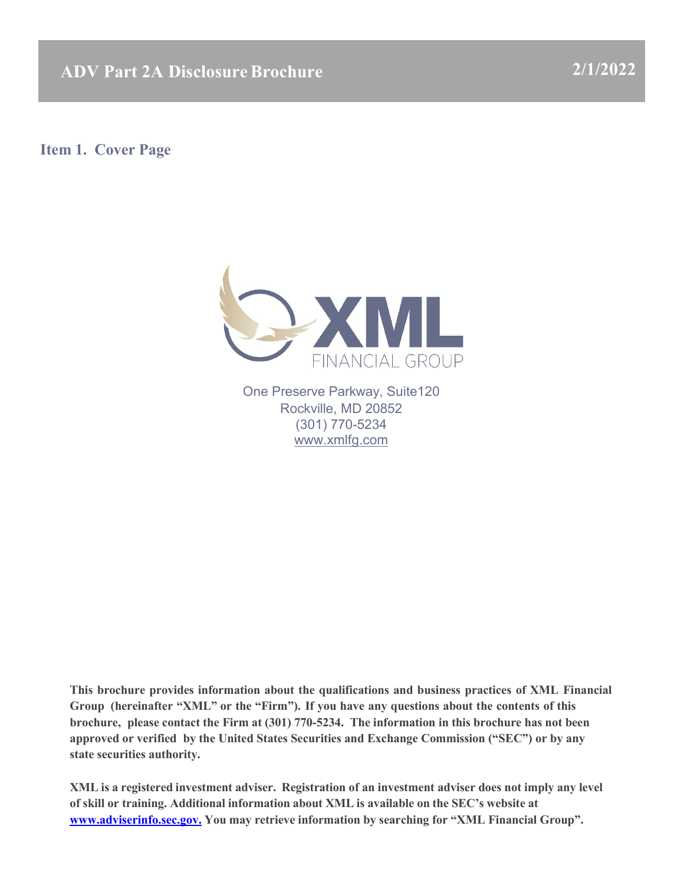**ADV Part 2A DisclosureBrochure 2/1/2022**

<span id="page-0-0"></span>**Item 1. Cover Page**



One Preserve Parkway, Suite120 Rockville, MD 20852 (301) 770-5234 [www.xmlfg.com](http://www.xmlfg.com/)

**This brochure provides information about the qualifications and business practices of XML Financial Group (hereinafter "XML" or the "Firm"). If you have any questions about the contents of this brochure, please contact the Firm at (301) 770-5234. The information in this brochure has not been approved or verified by the United States Securities and Exchange Commission ("SEC") or by any state securities authority.**

**XML is a registered investment adviser. Registration of an investment adviser does not imply any level of skill or training. Additional information about XML is available on the SEC's website at [www.adviserinfo.sec.gov.](http://www.adviserinfo.sec.gov./) You may retrieve information by searching for "XML Financial Group".**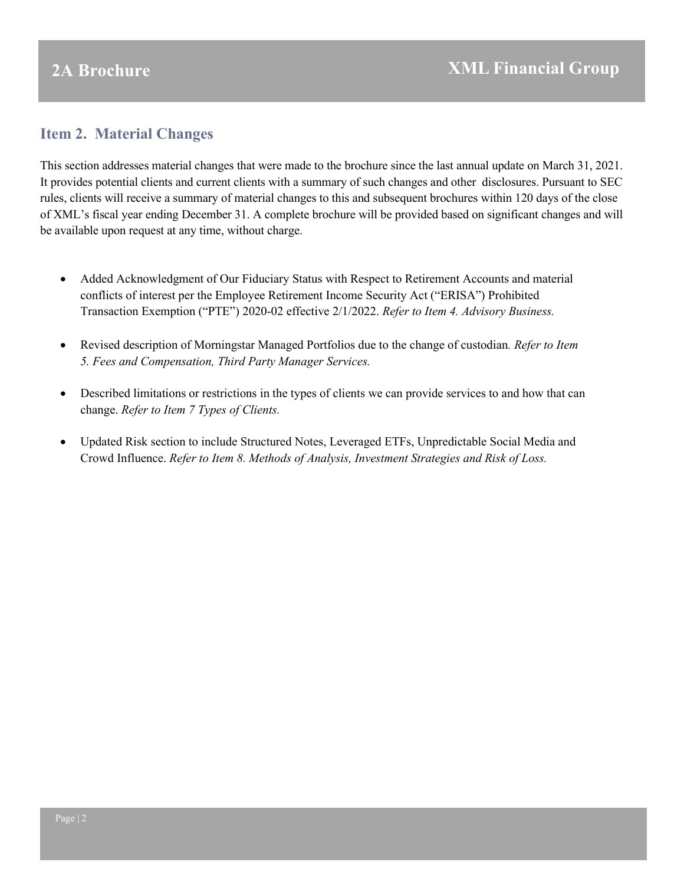## <span id="page-1-0"></span>**Item 2. Material Changes**

This section addresses material changes that were made to the brochure since the last annual update on March 31, 2021. It provides potential clients and current clients with a summary of such changes and other disclosures. Pursuant to SEC rules, clients will receive a summary of material changes to this and subsequent brochures within 120 days of the close of XML's fiscal year ending December 31. A complete brochure will be provided based on significant changes and will be available upon request at any time, without charge.

- Added Acknowledgment of Our Fiduciary Status with Respect to Retirement Accounts and material conflicts of interest per the Employee Retirement Income Security Act ("ERISA") Prohibited Transaction Exemption ("PTE") 2020-02 effective 2/1/2022. *Refer to Item 4. Advisory Business.*
- Revised description of Morningstar Managed Portfolios due to the change of custodian*. Refer to Item 5. Fees and Compensation, Third Party Manager Services.*
- Described limitations or restrictions in the types of clients we can provide services to and how that can change. *Refer to Item 7 Types of Clients.*
- <span id="page-1-1"></span>• Updated Risk section to include Structured Notes, Leveraged ETFs, Unpredictable Social Media and Crowd Influence. *Refer to Item 8. Methods of Analysis, Investment Strategies and Risk of Loss.*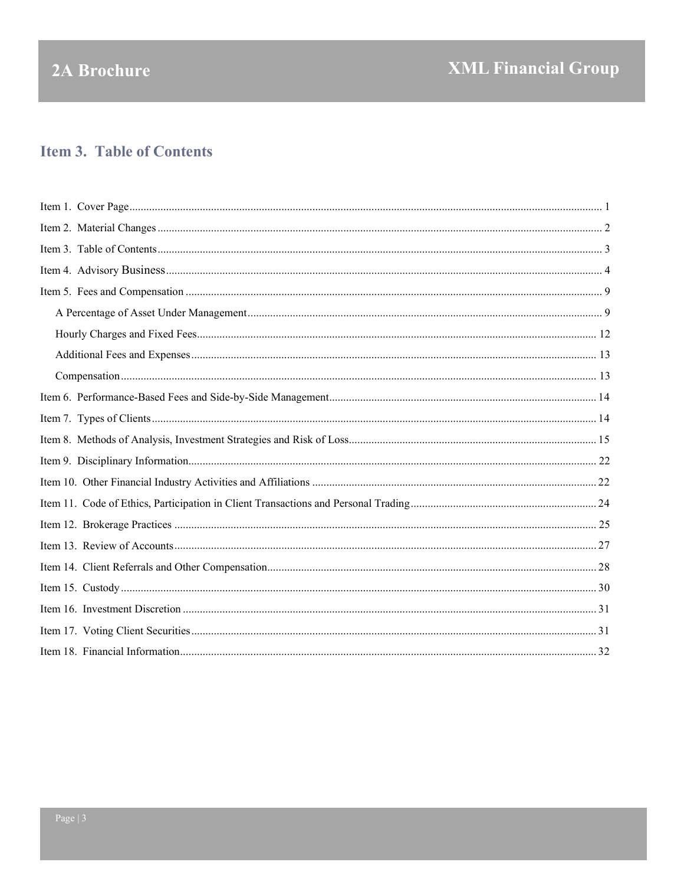# 2A Brochure

## **Item 3. Table of Contents**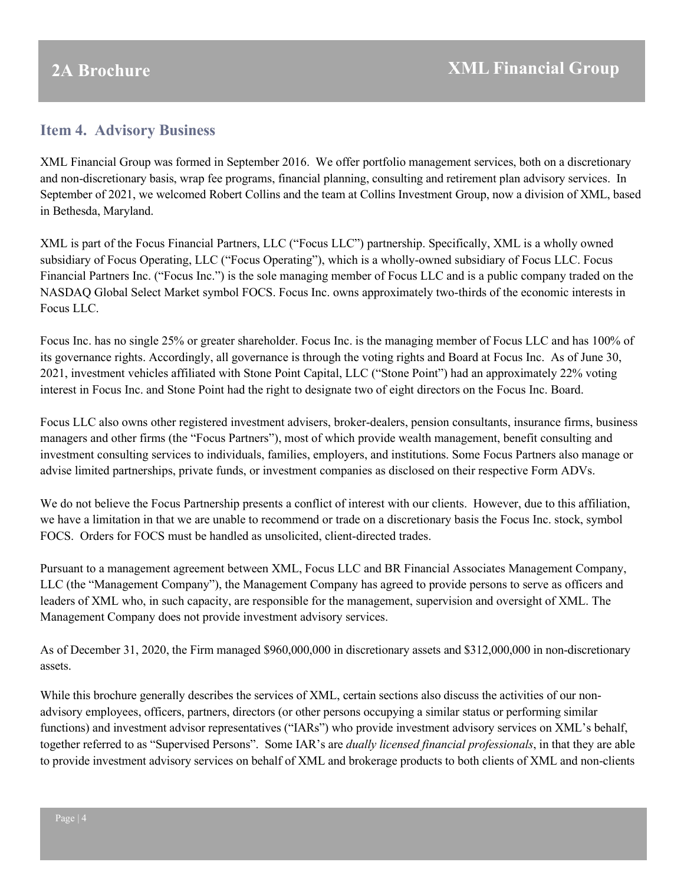## <span id="page-3-0"></span>**Item 4. Advisory Business**

XML Financial Group was formed in September 2016. We offer portfolio management services, both on a discretionary and non-discretionary basis, wrap fee programs, financial planning, consulting and retirement plan advisory services. In September of 2021, we welcomed Robert Collins and the team at Collins Investment Group, now a division of XML, based in Bethesda, Maryland.

XML is part of the Focus Financial Partners, LLC ("Focus LLC") partnership. Specifically, XML is a wholly owned subsidiary of Focus Operating, LLC ("Focus Operating"), which is a wholly-owned subsidiary of Focus LLC. Focus Financial Partners Inc. ("Focus Inc.") is the sole managing member of Focus LLC and is a public company traded on the NASDAQ Global Select Market symbol FOCS. Focus Inc. owns approximately two-thirds of the economic interests in Focus LLC.

Focus Inc. has no single 25% or greater shareholder. Focus Inc. is the managing member of Focus LLC and has 100% of its governance rights. Accordingly, all governance is through the voting rights and Board at Focus Inc. As of June 30, 2021, investment vehicles affiliated with Stone Point Capital, LLC ("Stone Point") had an approximately 22% voting interest in Focus Inc. and Stone Point had the right to designate two of eight directors on the Focus Inc. Board.

Focus LLC also owns other registered investment advisers, broker-dealers, pension consultants, insurance firms, business managers and other firms (the "Focus Partners"), most of which provide wealth management, benefit consulting and investment consulting services to individuals, families, employers, and institutions. Some Focus Partners also manage or advise limited partnerships, private funds, or investment companies as disclosed on their respective Form ADVs.

We do not believe the Focus Partnership presents a conflict of interest with our clients. However, due to this affiliation, we have a limitation in that we are unable to recommend or trade on a discretionary basis the Focus Inc. stock, symbol FOCS. Orders for FOCS must be handled as unsolicited, client-directed trades.

Pursuant to a management agreement between XML, Focus LLC and BR Financial Associates Management Company, LLC (the "Management Company"), the Management Company has agreed to provide persons to serve as officers and leaders of XML who, in such capacity, are responsible for the management, supervision and oversight of XML. The Management Company does not provide investment advisory services.

As of December 31, 2020, the Firm managed \$960,000,000 in discretionary assets and \$312,000,000 in non-discretionary assets.

While this brochure generally describes the services of XML, certain sections also discuss the activities of our nonadvisory employees, officers, partners, directors (or other persons occupying a similar status or performing similar functions) and investment advisor representatives ("IARs") who provide investment advisory services on XML's behalf, together referred to as "Supervised Persons". Some IAR's are *dually licensed financial professionals*, in that they are able to provide investment advisory services on behalf of XML and brokerage products to both clients of XML and non-clients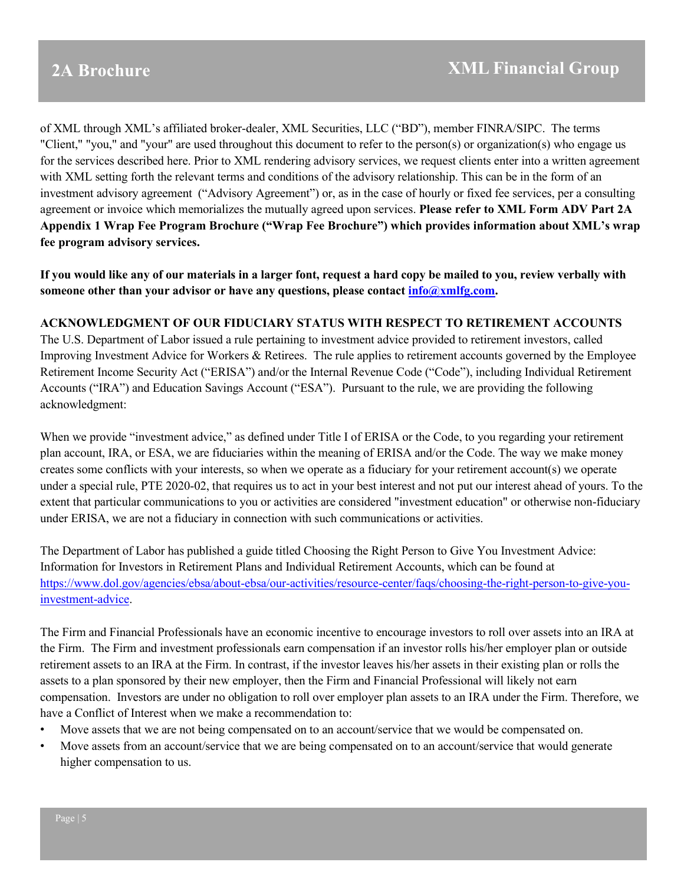of XML through XML's affiliated broker-dealer, XML Securities, LLC ("BD"), member FINRA/SIPC. The terms "Client," "you," and "your" are used throughout this document to refer to the person(s) or organization(s) who engage us for the services described here. Prior to XML rendering advisory services, we request clients enter into a written agreement with XML setting forth the relevant terms and conditions of the advisory relationship. This can be in the form of an investment advisory agreement ("Advisory Agreement") or, as in the case of hourly or fixed fee services, per a consulting agreement or invoice which memorializes the mutually agreed upon services. **Please refer to XML Form ADV Part 2A Appendix 1 Wrap Fee Program Brochure ("Wrap Fee Brochure") which provides information about XML's wrap fee program advisory services.**

**If you would like any of our materials in a larger font, request a hard copy be mailed to you, review verbally with someone other than your advisor or have any questions, please contact [info@xmlfg.com.](mailto:info@xmlfg.com)**

#### **ACKNOWLEDGMENT OF OUR FIDUCIARY STATUS WITH RESPECT TO RETIREMENT ACCOUNTS**

The U.S. Department of Labor issued a rule pertaining to investment advice provided to retirement investors, called Improving Investment Advice for Workers & Retirees. The rule applies to retirement accounts governed by the Employee Retirement Income Security Act ("ERISA") and/or the Internal Revenue Code ("Code"), including Individual Retirement Accounts ("IRA") and Education Savings Account ("ESA"). Pursuant to the rule, we are providing the following acknowledgment:

When we provide "investment advice," as defined under Title I of ERISA or the Code, to you regarding your retirement plan account, IRA, or ESA, we are fiduciaries within the meaning of ERISA and/or the Code. The way we make money creates some conflicts with your interests, so when we operate as a fiduciary for your retirement account(s) we operate under a special rule, PTE 2020-02, that requires us to act in your best interest and not put our interest ahead of yours. To the extent that particular communications to you or activities are considered "investment education" or otherwise non-fiduciary under ERISA, we are not a fiduciary in connection with such communications or activities.

The Department of Labor has published a guide titled Choosing the Right Person to Give You Investment Advice: Information for Investors in Retirement Plans and Individual Retirement Accounts, which can be found at [https://www.dol.gov/agencies/ebsa/about-ebsa/our-activities/resource-center/faqs/choosing-the-right-person-to-give-you](https://www.dol.gov/agencies/ebsa/about-ebsa/our-activities/resource-center/faqs/choosing-the-right-person-to-give-you-investment-advice)[investment-advice.](https://www.dol.gov/agencies/ebsa/about-ebsa/our-activities/resource-center/faqs/choosing-the-right-person-to-give-you-investment-advice)

The Firm and Financial Professionals have an economic incentive to encourage investors to roll over assets into an IRA at the Firm. The Firm and investment professionals earn compensation if an investor rolls his/her employer plan or outside retirement assets to an IRA at the Firm. In contrast, if the investor leaves his/her assets in their existing plan or rolls the assets to a plan sponsored by their new employer, then the Firm and Financial Professional will likely not earn compensation. Investors are under no obligation to roll over employer plan assets to an IRA under the Firm. Therefore, we have a Conflict of Interest when we make a recommendation to:

- Move assets that we are not being compensated on to an account/service that we would be compensated on.
- Move assets from an account/service that we are being compensated on to an account/service that would generate higher compensation to us.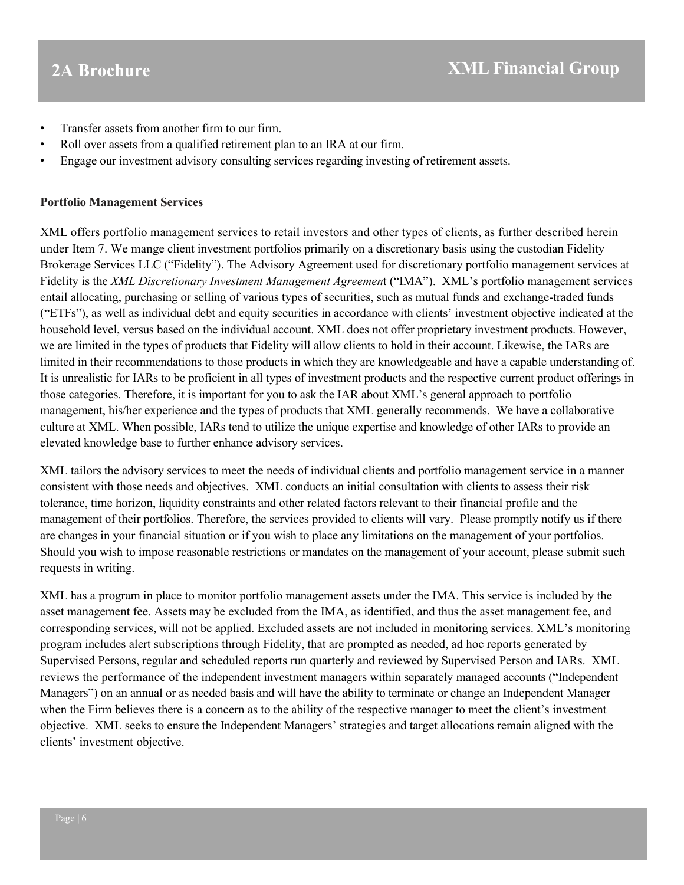- Transfer assets from another firm to our firm.
- Roll over assets from a qualified retirement plan to an IRA at our firm.
- Engage our investment advisory consulting services regarding investing of retirement assets.

#### **Portfolio Management Services**

XML offers portfolio management services to retail investors and other types of clients, as further described herein under Item 7. We mange client investment portfolios primarily on a discretionary basis using the custodian Fidelity Brokerage Services LLC ("Fidelity"). The Advisory Agreement used for discretionary portfolio management services at Fidelity is the *XML Discretionary Investment Management Agreemen*t ("IMA"). XML's portfolio management services entail allocating, purchasing or selling of various types of securities, such as mutual funds and exchange-traded funds ("ETFs"), as well as individual debt and equity securities in accordance with clients' investment objective indicated at the household level, versus based on the individual account. XML does not offer proprietary investment products. However, we are limited in the types of products that Fidelity will allow clients to hold in their account. Likewise, the IARs are limited in their recommendations to those products in which they are knowledgeable and have a capable understanding of. It is unrealistic for IARs to be proficient in all types of investment products and the respective current product offerings in those categories. Therefore, it is important for you to ask the IAR about XML's general approach to portfolio management, his/her experience and the types of products that XML generally recommends. We have a collaborative culture at XML. When possible, IARs tend to utilize the unique expertise and knowledge of other IARs to provide an elevated knowledge base to further enhance advisory services.

XML tailors the advisory services to meet the needs of individual clients and portfolio management service in a manner consistent with those needs and objectives. XML conducts an initial consultation with clients to assess their risk tolerance, time horizon, liquidity constraints and other related factors relevant to their financial profile and the management of their portfolios. Therefore, the services provided to clients will vary. Please promptly notify us if there are changes in your financial situation or if you wish to place any limitations on the management of your portfolios. Should you wish to impose reasonable restrictions or mandates on the management of your account, please submit such requests in writing.

XML has a program in place to monitor portfolio management assets under the IMA. This service is included by the asset management fee. Assets may be excluded from the IMA, as identified, and thus the asset management fee, and corresponding services, will not be applied. Excluded assets are not included in monitoring services. XML's monitoring program includes alert subscriptions through Fidelity, that are prompted as needed, ad hoc reports generated by Supervised Persons, regular and scheduled reports run quarterly and reviewed by Supervised Person and IARs. XML reviews the performance of the independent investment managers within separately managed accounts ("Independent Managers") on an annual or as needed basis and will have the ability to terminate or change an Independent Manager when the Firm believes there is a concern as to the ability of the respective manager to meet the client's investment objective. XML seeks to ensure the Independent Managers' strategies and target allocations remain aligned with the clients' investment objective.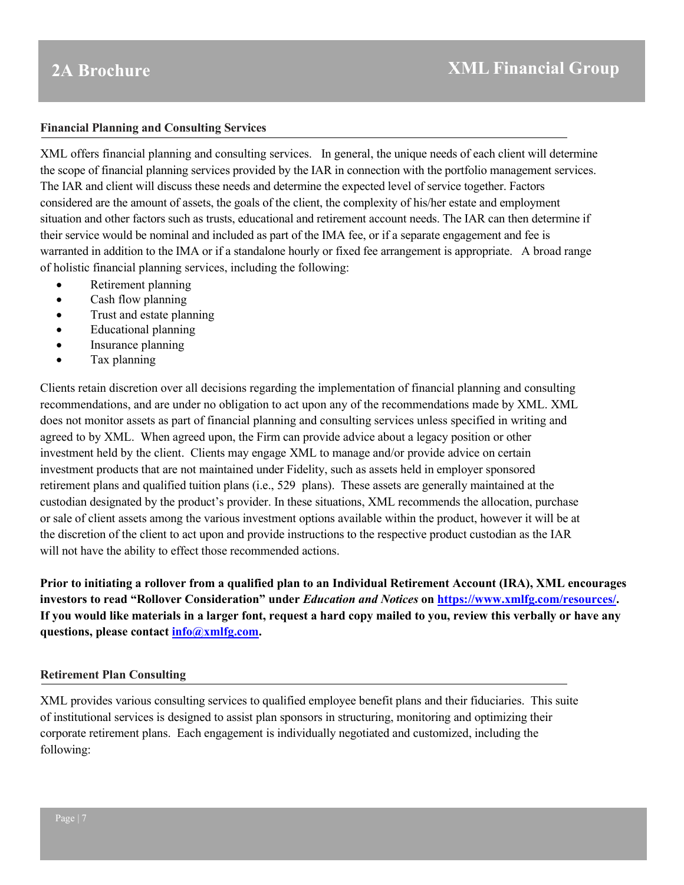#### **Financial Planning and Consulting Services**

XML offers financial planning and consulting services. In general, the unique needs of each client will determine the scope of financial planning services provided by the IAR in connection with the portfolio management services. The IAR and client will discuss these needs and determine the expected level of service together. Factors considered are the amount of assets, the goals of the client, the complexity of his/her estate and employment situation and other factors such as trusts, educational and retirement account needs. The IAR can then determine if their service would be nominal and included as part of the IMA fee, or if a separate engagement and fee is warranted in addition to the IMA or if a standalone hourly or fixed fee arrangement is appropriate. A broad range of holistic financial planning services, including the following:

- Retirement planning
- Cash flow planning
- Trust and estate planning
- Educational planning
- Insurance planning
- Tax planning

Clients retain discretion over all decisions regarding the implementation of financial planning and consulting recommendations, and are under no obligation to act upon any of the recommendations made by XML. XML does not monitor assets as part of financial planning and consulting services unless specified in writing and agreed to by XML. When agreed upon, the Firm can provide advice about a legacy position or other investment held by the client. Clients may engage XML to manage and/or provide advice on certain investment products that are not maintained under Fidelity, such as assets held in employer sponsored retirement plans and qualified tuition plans (i.e., 529 plans). These assets are generally maintained at the custodian designated by the product's provider. In these situations, XML recommends the allocation, purchase or sale of client assets among the various investment options available within the product, however it will be at the discretion of the client to act upon and provide instructions to the respective product custodian as the IAR will not have the ability to effect those recommended actions.

**Prior to initiating a rollover from a qualified plan to an Individual Retirement Account (IRA), XML encourages investors to read "Rollover Consideration" under** *Education and Notices* **on [https://www.xmlfg.com/resources/.](https://www.xmlfg.com/resources/) If you would like materials in a larger font, request a hard copy mailed to you, review this verbally or have any questions, please contact [info@xmlfg.com.](mailto:info@xmlfg.com)** 

#### **Retirement Plan Consulting**

XML provides various consulting services to qualified employee benefit plans and their fiduciaries. This suite of institutional services is designed to assist plan sponsors in structuring, monitoring and optimizing their corporate retirement plans. Each engagement is individually negotiated and customized, including the following: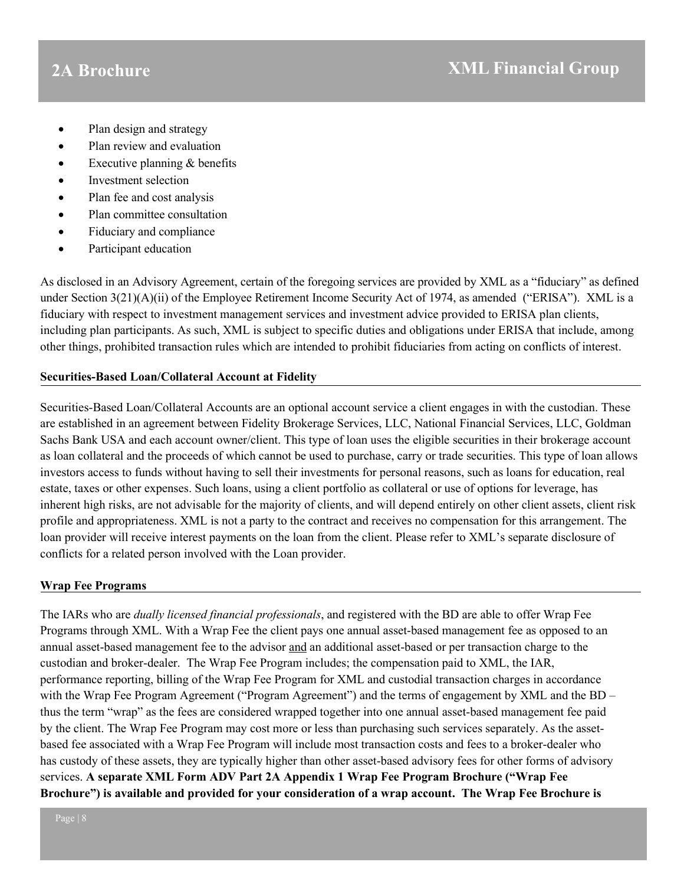- Plan design and strategy
- Plan review and evaluation
- Executive planning  $&$  benefits
- Investment selection
- Plan fee and cost analysis
- Plan committee consultation
- Fiduciary and compliance
- Participant education

As disclosed in an Advisory Agreement, certain of the foregoing services are provided by XML as a "fiduciary" as defined under Section 3(21)(A)(ii) of the Employee Retirement Income Security Act of 1974, as amended ("ERISA"). XML is a fiduciary with respect to investment management services and investment advice provided to ERISA plan clients, including plan participants. As such, XML is subject to specific duties and obligations under ERISA that include, among other things, prohibited transaction rules which are intended to prohibit fiduciaries from acting on conflicts of interest.

### **Securities-Based Loan/Collateral Account at Fidelity**

Securities-Based Loan/Collateral Accounts are an optional account service a client engages in with the custodian. These are established in an agreement between Fidelity Brokerage Services, LLC, National Financial Services, LLC, Goldman Sachs Bank USA and each account owner/client. This type of loan uses the eligible securities in their brokerage account as loan collateral and the proceeds of which cannot be used to purchase, carry or trade securities. This type of loan allows investors access to funds without having to sell their investments for personal reasons, such as loans for education, real estate, taxes or other expenses. Such loans, using a client portfolio as collateral or use of options for leverage, has inherent high risks, are not advisable for the majority of clients, and will depend entirely on other client assets, client risk profile and appropriateness. XML is not a party to the contract and receives no compensation for this arrangement. The loan provider will receive interest payments on the loan from the client. Please refer to XML's separate disclosure of conflicts for a related person involved with the Loan provider.

### **Wrap Fee Programs**

The IARs who are *dually licensed financial professionals*, and registered with the BD are able to offer Wrap Fee Programs through XML. With a Wrap Fee the client pays one annual asset-based management fee as opposed to an annual asset-based management fee to the advisor and an additional asset-based or per transaction charge to the custodian and broker-dealer. The Wrap Fee Program includes; the compensation paid to XML, the IAR, performance reporting, billing of the Wrap Fee Program for XML and custodial transaction charges in accordance with the Wrap Fee Program Agreement ("Program Agreement") and the terms of engagement by XML and the BD – thus the term "wrap" as the fees are considered wrapped together into one annual asset-based management fee paid by the client. The Wrap Fee Program may cost more or less than purchasing such services separately. As the assetbased fee associated with a Wrap Fee Program will include most transaction costs and fees to a broker-dealer who has custody of these assets, they are typically higher than other asset-based advisory fees for other forms of advisory services. **A separate XML Form ADV Part 2A Appendix 1 Wrap Fee Program Brochure ("Wrap Fee Brochure") is available and provided for your consideration of a wrap account. The Wrap Fee Brochure is**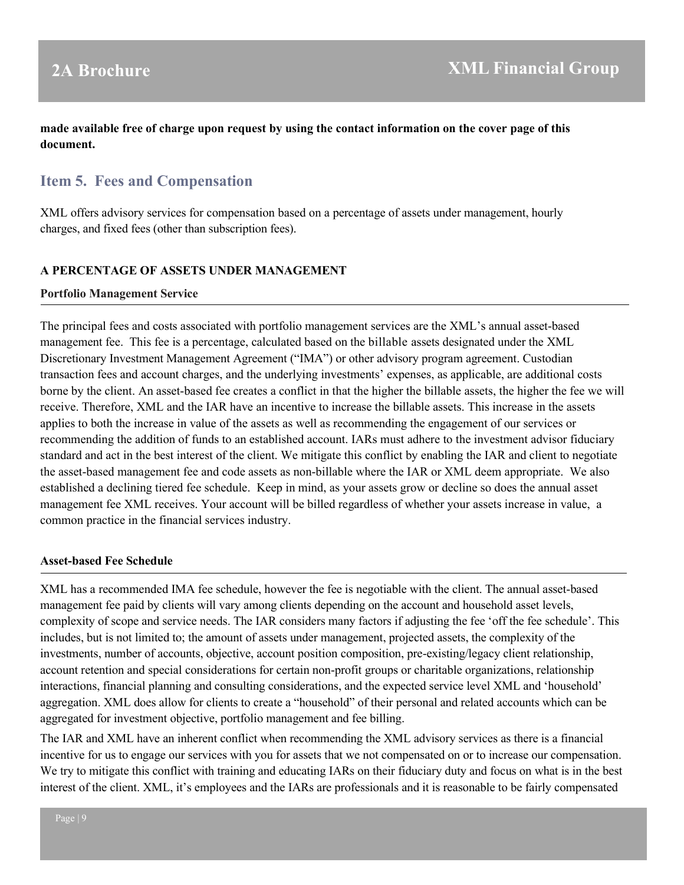### <span id="page-8-0"></span>**made available free of charge upon request by using the contact information on the cover page of this document.**

## **Item 5. Fees and Compensation**

XML offers advisory services for compensation based on a percentage of assets under management, hourly charges, and fixed fees (other than subscription fees).

#### **A PERCENTAGE OF ASSETS UNDER MANAGEMENT**

#### **Portfolio Management Service**

The principal fees and costs associated with portfolio management services are the XML's annual asset-based management fee. This fee is a percentage, calculated based on the billable assets designated under the XML Discretionary Investment Management Agreement ("IMA") or other advisory program agreement. Custodian transaction fees and account charges, and the underlying investments' expenses, as applicable, are additional costs borne by the client. An asset-based fee creates a conflict in that the higher the billable assets, the higher the fee we will receive. Therefore, XML and the IAR have an incentive to increase the billable assets. This increase in the assets applies to both the increase in value of the assets as well as recommending the engagement of our services or recommending the addition of funds to an established account. IARs must adhere to the investment advisor fiduciary standard and act in the best interest of the client. We mitigate this conflict by enabling the IAR and client to negotiate the asset-based management fee and code assets as non-billable where the IAR or XML deem appropriate. We also established a declining tiered fee schedule. Keep in mind, as your assets grow or decline so does the annual asset management fee XML receives. Your account will be billed regardless of whether your assets increase in value, a common practice in the financial services industry.

#### **Asset-based Fee Schedule**

XML has a recommended IMA fee schedule, however the fee is negotiable with the client. The annual asset-based management fee paid by clients will vary among clients depending on the account and household asset levels, complexity of scope and service needs. The IAR considers many factors if adjusting the fee 'off the fee schedule'. This includes, but is not limited to; the amount of assets under management, projected assets, the complexity of the investments, number of accounts, objective, account position composition, pre-existing/legacy client relationship, account retention and special considerations for certain non-profit groups or charitable organizations, relationship interactions, financial planning and consulting considerations, and the expected service level XML and 'household' aggregation. XML does allow for clients to create a "household" of their personal and related accounts which can be aggregated for investment objective, portfolio management and fee billing.

The IAR and XML have an inherent conflict when recommending the XML advisory services as there is a financial incentive for us to engage our services with you for assets that we not compensated on or to increase our compensation. We try to mitigate this conflict with training and educating IARs on their fiduciary duty and focus on what is in the best interest of the client. XML, it's employees and the IARs are professionals and it is reasonable to be fairly compensated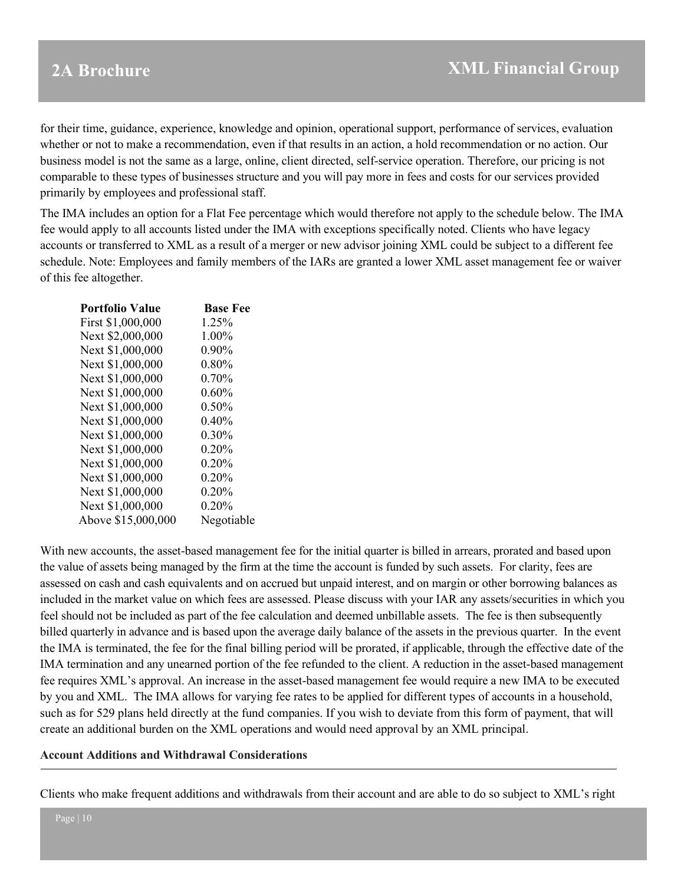for their time, guidance, experience, knowledge and opinion, operational support, performance of services, evaluation whether or not to make a recommendation, even if that results in an action, a hold recommendation or no action. Our business model is not the same as a large, online, client directed, self-service operation. Therefore, our pricing is not comparable to these types of businesses structure and you will pay more in fees and costs for our services provided primarily by employees and professional staff.

The IMA includes an option for a Flat Fee percentage which would therefore not apply to the schedule below. The IMA fee would apply to all accounts listed under the IMA with exceptions specifically noted. Clients who have legacy accounts or transferred to XML as a result of a merger or new advisor joining XML could be subject to a different fee schedule. Note: Employees and family members of the IARs are granted a lower XML asset management fee or waiver of this fee altogether.

| <b>Portfolio Value</b> | <b>Base Fee</b> |
|------------------------|-----------------|
| First \$1,000,000      | 1.25%           |
| Next \$2,000,000       | $1.00\%$        |
| Next \$1,000,000       | $0.90\%$        |
| Next \$1,000,000       | $0.80\%$        |
| Next \$1,000,000       | $0.70\%$        |
| Next \$1,000,000       | $0.60\%$        |
| Next \$1,000,000       | $0.50\%$        |
| Next \$1,000,000       | 0.40%           |
| Next \$1,000,000       | $0.30\%$        |
| Next \$1,000,000       | $0.20\%$        |
| Next \$1,000,000       | 0.20%           |
| Next \$1,000,000       | $0.20\%$        |
| Next \$1,000,000       | $0.20\%$        |
| Next \$1,000,000       | $0.20\%$        |
| Above \$15,000,000     | Negotiable      |

With new accounts, the asset-based management fee for the initial quarter is billed in arrears, prorated and based upon the value of assets being managed by the firm at the time the account is funded by such assets. For clarity, fees are assessed on cash and cash equivalents and on accrued but unpaid interest, and on margin or other borrowing balances as included in the market value on which fees are assessed. Please discuss with your IAR any assets/securities in which you feel should not be included as part of the fee calculation and deemed unbillable assets. The fee is then subsequently billed quarterly in advance and is based upon the average daily balance of the assets in the previous quarter. In the event the IMA is terminated, the fee for the final billing period will be prorated, if applicable, through the effective date of the IMA termination and any unearned portion of the fee refunded to the client. A reduction in the asset-based management fee requires XML's approval. An increase in the asset-based management fee would require a new IMA to be executed by you and XML. The IMA allows for varying fee rates to be applied for different types of accounts in a household, such as for 529 plans held directly at the fund companies. If you wish to deviate from this form of payment, that will create an additional burden on the XML operations and would need approval by an XML principal.

#### **Account Additions and Withdrawal Considerations**

Clients who make frequent additions and withdrawals from their account and are able to do so subject to XML's right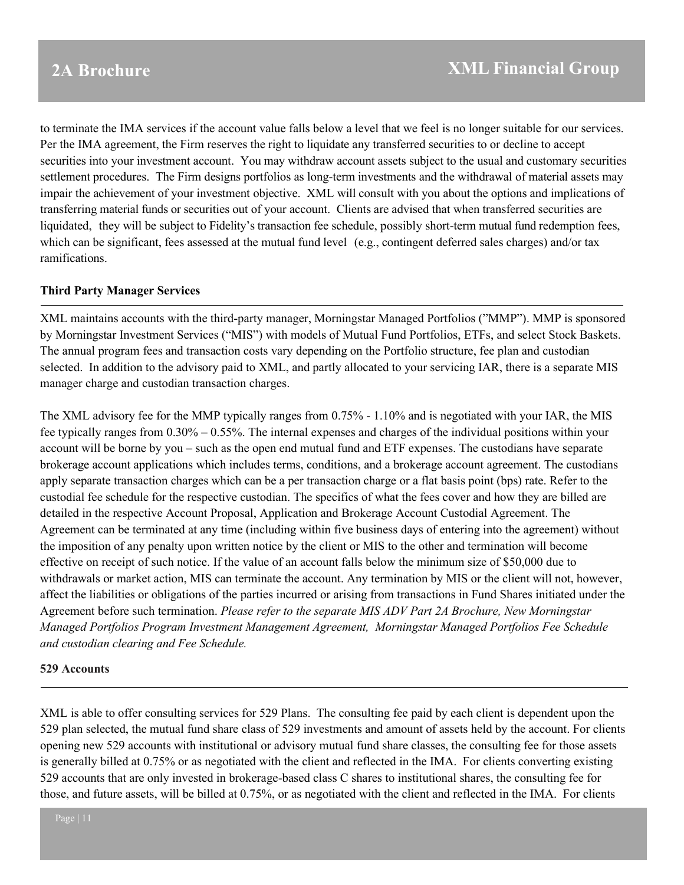to terminate the IMA services if the account value falls below a level that we feel is no longer suitable for our services. Per the IMA agreement, the Firm reserves the right to liquidate any transferred securities to or decline to accept securities into your investment account. You may withdraw account assets subject to the usual and customary securities settlement procedures. The Firm designs portfolios as long-term investments and the withdrawal of material assets may impair the achievement of your investment objective. XML will consult with you about the options and implications of transferring material funds or securities out of your account. Clients are advised that when transferred securities are liquidated, they will be subject to Fidelity's transaction fee schedule, possibly short-term mutual fund redemption fees, which can be significant, fees assessed at the mutual fund level (e.g., contingent deferred sales charges) and/or tax ramifications.

#### **Third Party Manager Services**

XML maintains accounts with the third-party manager, Morningstar Managed Portfolios ("MMP"). MMP is sponsored by Morningstar Investment Services ("MIS") with models of Mutual Fund Portfolios, ETFs, and select Stock Baskets. The annual program fees and transaction costs vary depending on the Portfolio structure, fee plan and custodian selected. In addition to the advisory paid to XML, and partly allocated to your servicing IAR, there is a separate MIS manager charge and custodian transaction charges.

The XML advisory fee for the MMP typically ranges from 0.75% - 1.10% and is negotiated with your IAR, the MIS fee typically ranges from  $0.30\% - 0.55\%$ . The internal expenses and charges of the individual positions within your account will be borne by you – such as the open end mutual fund and ETF expenses. The custodians have separate brokerage account applications which includes terms, conditions, and a brokerage account agreement. The custodians apply separate transaction charges which can be a per transaction charge or a flat basis point (bps) rate. Refer to the custodial fee schedule for the respective custodian. The specifics of what the fees cover and how they are billed are detailed in the respective Account Proposal, Application and Brokerage Account Custodial Agreement. The Agreement can be terminated at any time (including within five business days of entering into the agreement) without the imposition of any penalty upon written notice by the client or MIS to the other and termination will become effective on receipt of such notice. If the value of an account falls below the minimum size of \$50,000 due to withdrawals or market action, MIS can terminate the account. Any termination by MIS or the client will not, however, affect the liabilities or obligations of the parties incurred or arising from transactions in Fund Shares initiated under the Agreement before such termination. *Please refer to the separate MIS ADV Part 2A Brochure, New Morningstar Managed Portfolios Program Investment Management Agreement, Morningstar Managed Portfolios Fee Schedule and custodian clearing and Fee Schedule.*

#### **529 Accounts**

XML is able to offer consulting services for 529 Plans. The consulting fee paid by each client is dependent upon the 529 plan selected, the mutual fund share class of 529 investments and amount of assets held by the account. For clients opening new 529 accounts with institutional or advisory mutual fund share classes, the consulting fee for those assets is generally billed at 0.75% or as negotiated with the client and reflected in the IMA. For clients converting existing 529 accounts that are only invested in brokerage-based class C shares to institutional shares, the consulting fee for those, and future assets, will be billed at 0.75%, or as negotiated with the client and reflected in the IMA. For clients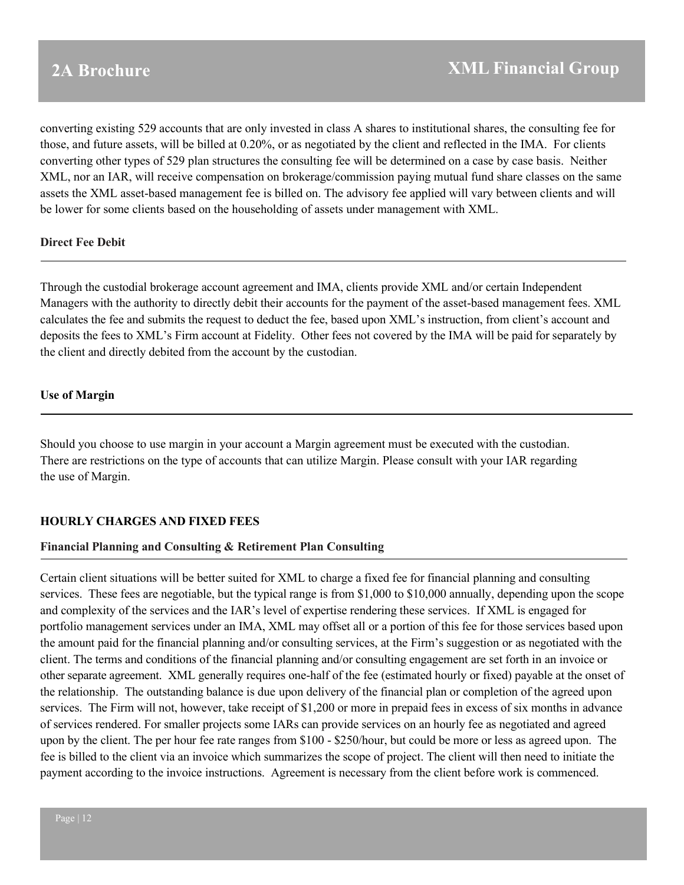converting existing 529 accounts that are only invested in class A shares to institutional shares, the consulting fee for those, and future assets, will be billed at 0.20%, or as negotiated by the client and reflected in the IMA. For clients converting other types of 529 plan structures the consulting fee will be determined on a case by case basis. Neither XML, nor an IAR, will receive compensation on brokerage/commission paying mutual fund share classes on the same assets the XML asset-based management fee is billed on. The advisory fee applied will vary between clients and will be lower for some clients based on the householding of assets under management with XML.

### **Direct Fee Debit**

Through the custodial brokerage account agreement and IMA, clients provide XML and/or certain Independent Managers with the authority to directly debit their accounts for the payment of the asset-based management fees. XML calculates the fee and submits the request to deduct the fee, based upon XML's instruction, from client's account and deposits the fees to XML's Firm account at Fidelity. Other fees not covered by the IMA will be paid for separately by the client and directly debited from the account by the custodian.

#### **Use of Margin**

Should you choose to use margin in your account a Margin agreement must be executed with the custodian. There are restrictions on the type of accounts that can utilize Margin. Please consult with your IAR regarding the use of Margin.

### **HOURLY CHARGES AND FIXED FEES**

#### **Financial Planning and Consulting & Retirement Plan Consulting**

Certain client situations will be better suited for XML to charge a fixed fee for financial planning and consulting services. These fees are negotiable, but the typical range is from \$1,000 to \$10,000 annually, depending upon the scope and complexity of the services and the IAR's level of expertise rendering these services. If XML is engaged for portfolio management services under an IMA, XML may offset all or a portion of this fee for those services based upon the amount paid for the financial planning and/or consulting services, at the Firm's suggestion or as negotiated with the client. The terms and conditions of the financial planning and/or consulting engagement are set forth in an invoice or other separate agreement. XML generally requires one-half of the fee (estimated hourly or fixed) payable at the onset of the relationship. The outstanding balance is due upon delivery of the financial plan or completion of the agreed upon services. The Firm will not, however, take receipt of \$1,200 or more in prepaid fees in excess of six months in advance of services rendered. For smaller projects some IARs can provide services on an hourly fee as negotiated and agreed upon by the client. The per hour fee rate ranges from \$100 - \$250/hour, but could be more or less as agreed upon. The fee is billed to the client via an invoice which summarizes the scope of project. The client will then need to initiate the payment according to the invoice instructions. Agreement is necessary from the client before work is commenced.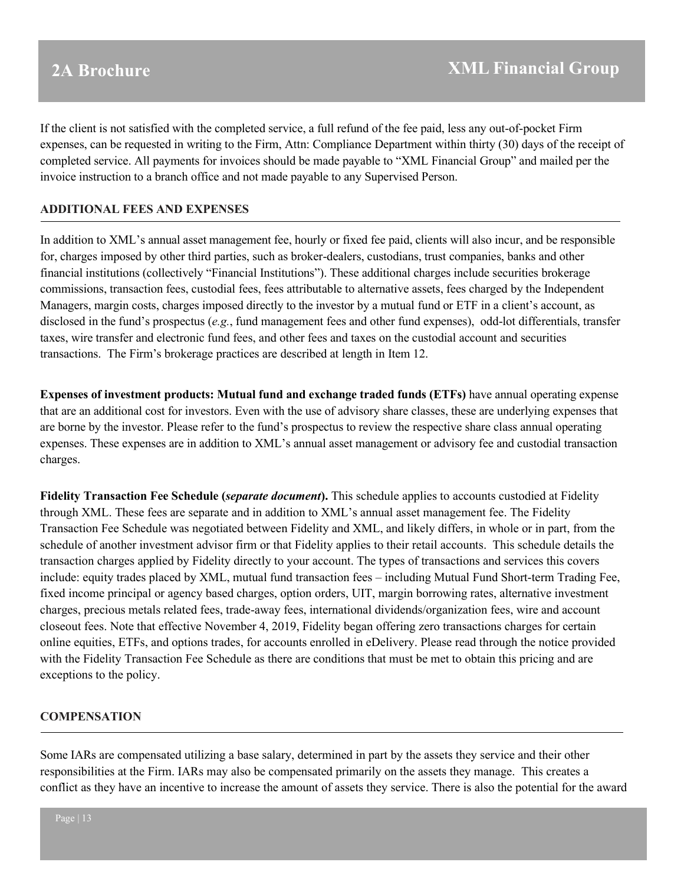If the client is not satisfied with the completed service, a full refund of the fee paid, less any out-of-pocket Firm expenses, can be requested in writing to the Firm, Attn: Compliance Department within thirty (30) days of the receipt of completed service. All payments for invoices should be made payable to "XML Financial Group" and mailed per the invoice instruction to a branch office and not made payable to any Supervised Person.

### **ADDITIONAL FEES AND EXPENSES**

In addition to XML's annual asset management fee, hourly or fixed fee paid, clients will also incur, and be responsible for, charges imposed by other third parties, such as broker-dealers, custodians, trust companies, banks and other financial institutions (collectively "Financial Institutions"). These additional charges include securities brokerage commissions, transaction fees, custodial fees, fees attributable to alternative assets, fees charged by the Independent Managers, margin costs, charges imposed directly to the investor by a mutual fund or ETF in a client's account, as disclosed in the fund's prospectus (*e.g.*, fund management fees and other fund expenses), odd-lot differentials, transfer taxes, wire transfer and electronic fund fees, and other fees and taxes on the custodial account and securities transactions. The Firm's brokerage practices are described at length in Item 12.

**Expenses of investment products: Mutual fund and exchange traded funds (ETFs)** have annual operating expense that are an additional cost for investors. Even with the use of advisory share classes, these are underlying expenses that are borne by the investor. Please refer to the fund's prospectus to review the respective share class annual operating expenses. These expenses are in addition to XML's annual asset management or advisory fee and custodial transaction charges.

**Fidelity Transaction Fee Schedule (***separate document***).** This schedule applies to accounts custodied at Fidelity through XML. These fees are separate and in addition to XML's annual asset management fee. The Fidelity Transaction Fee Schedule was negotiated between Fidelity and XML, and likely differs, in whole or in part, from the schedule of another investment advisor firm or that Fidelity applies to their retail accounts. This schedule details the transaction charges applied by Fidelity directly to your account. The types of transactions and services this covers include: equity trades placed by XML, mutual fund transaction fees – including Mutual Fund Short-term Trading Fee, fixed income principal or agency based charges, option orders, UIT, margin borrowing rates, alternative investment charges, precious metals related fees, trade-away fees, international dividends/organization fees, wire and account closeout fees. Note that effective November 4, 2019, Fidelity began offering zero transactions charges for certain online equities, ETFs, and options trades, for accounts enrolled in eDelivery. Please read through the notice provided with the Fidelity Transaction Fee Schedule as there are conditions that must be met to obtain this pricing and are exceptions to the policy.

### **COMPENSATION**

Some IARs are compensated utilizing a base salary, determined in part by the assets they service and their other responsibilities at the Firm. IARs may also be compensated primarily on the assets they manage. This creates a conflict as they have an incentive to increase the amount of assets they service. There is also the potential for the award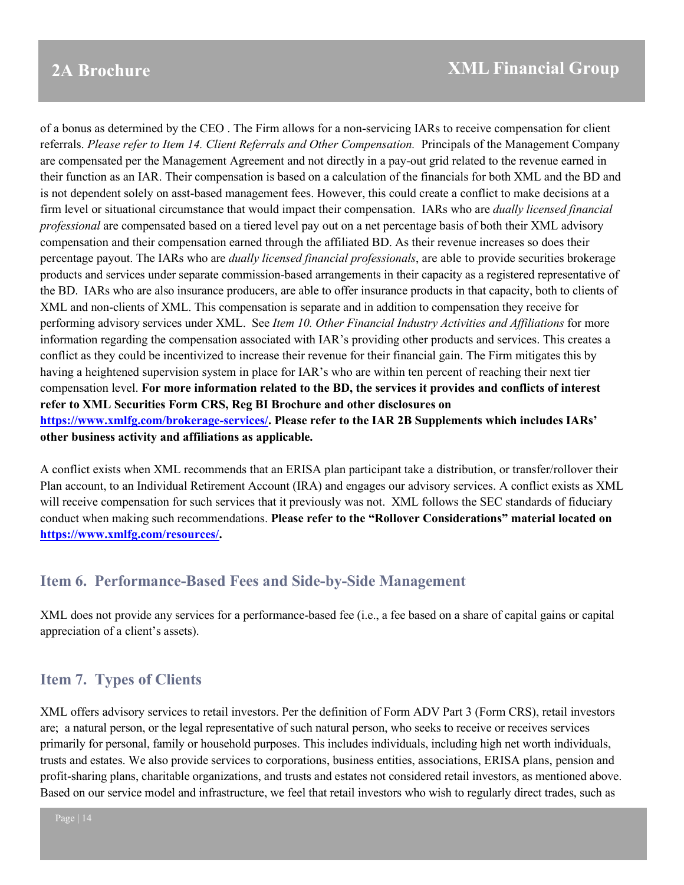of a bonus as determined by the CEO . The Firm allows for a non-servicing IARs to receive compensation for client referrals. *Please refer to Item 14. Client Referrals and Other Compensation.* Principals of the Management Company are compensated per the Management Agreement and not directly in a pay-out grid related to the revenue earned in their function as an IAR. Their compensation is based on a calculation of the financials for both XML and the BD and is not dependent solely on asst-based management fees. However, this could create a conflict to make decisions at a firm level or situational circumstance that would impact their compensation. IARs who are *dually licensed financial professional* are compensated based on a tiered level pay out on a net percentage basis of both their XML advisory compensation and their compensation earned through the affiliated BD. As their revenue increases so does their percentage payout. The IARs who are *dually licensed financial professionals*, are able to provide securities brokerage products and services under separate commission-based arrangements in their capacity as a registered representative of the BD. IARs who are also insurance producers, are able to offer insurance products in that capacity, both to clients of XML and non-clients of XML. This compensation is separate and in addition to compensation they receive for performing advisory services under XML. See *Item 10. Other Financial Industry Activities and Affiliations* for more information regarding the compensation associated with IAR's providing other products and services. This creates a conflict as they could be incentivized to increase their revenue for their financial gain. The Firm mitigates this by having a heightened supervision system in place for IAR's who are within ten percent of reaching their next tier compensation level. **For more information related to the BD, the services it provides and conflicts of interest refer to XML Securities Form CRS, Reg BI Brochure and other disclosures on [https://www.xmlfg.com/brokerage-services/.](https://www.xmlfg.com/brokerage-services/) Please refer to the IAR 2B Supplements which includes IARs' other business activity and affiliations as applicable.**

A conflict exists when XML recommends that an ERISA plan participant take a distribution, or transfer/rollover their Plan account, to an Individual Retirement Account (IRA) and engages our advisory services. A conflict exists as XML will receive compensation for such services that it previously was not. XML follows the SEC standards of fiduciary conduct when making such recommendations. **Please refer to the "Rollover Considerations" material located on [https://www.xmlfg.com/resources/.](https://www.xmlfg.com/resources/)**

## <span id="page-13-0"></span>**Item 6. Performance-Based Fees and Side-by-Side Management**

XML does not provide any services for a performance-based fee (i.e., a fee based on a share of capital gains or capital appreciation of a client's assets).

## <span id="page-13-1"></span>**Item 7. Types of Clients**

XML offers advisory services to retail investors. Per the definition of Form ADV Part 3 (Form CRS), retail investors are; a natural person, or the legal representative of such natural person, who seeks to receive or receives services primarily for personal, family or household purposes. This includes individuals, including high net worth individuals, trusts and estates. We also provide services to corporations, business entities, associations, ERISA plans, pension and profit-sharing plans, charitable organizations, and trusts and estates not considered retail investors, as mentioned above. Based on our service model and infrastructure, we feel that retail investors who wish to regularly direct trades, such as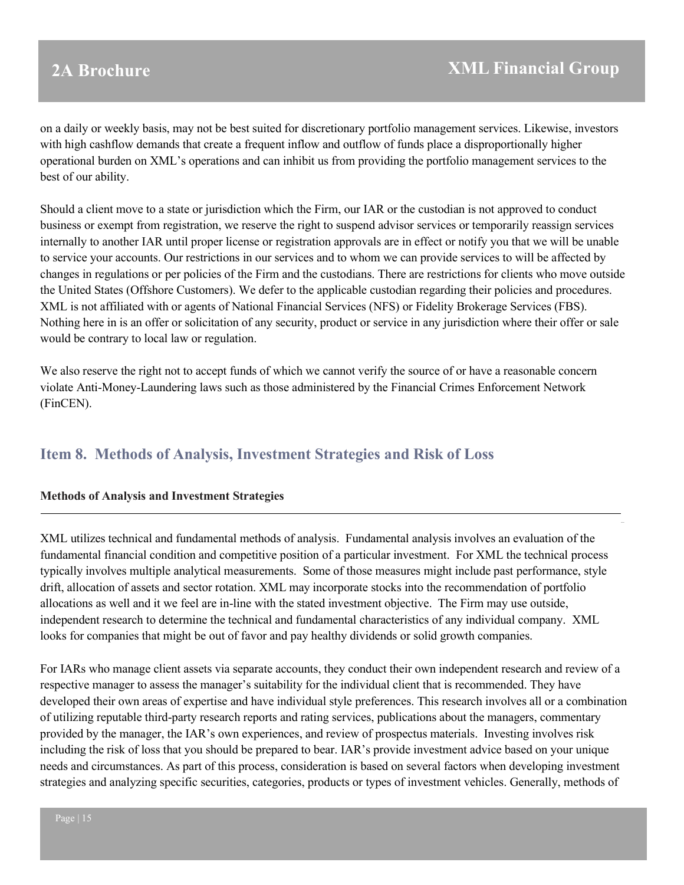on a daily or weekly basis, may not be best suited for discretionary portfolio management services. Likewise, investors with high cashflow demands that create a frequent inflow and outflow of funds place a disproportionally higher operational burden on XML's operations and can inhibit us from providing the portfolio management services to the best of our ability.

Should a client move to a state or jurisdiction which the Firm, our IAR or the custodian is not approved to conduct business or exempt from registration, we reserve the right to suspend advisor services or temporarily reassign services internally to another IAR until proper license or registration approvals are in effect or notify you that we will be unable to service your accounts. Our restrictions in our services and to whom we can provide services to will be affected by changes in regulations or per policies of the Firm and the custodians. There are restrictions for clients who move outside the United States (Offshore Customers). We defer to the applicable custodian regarding their policies and procedures. XML is not affiliated with or agents of National Financial Services (NFS) or Fidelity Brokerage Services (FBS). Nothing here in is an offer or solicitation of any security, product or service in any jurisdiction where their offer or sale would be contrary to local law or regulation.

We also reserve the right not to accept funds of which we cannot verify the source of or have a reasonable concern violate Anti-Money-Laundering laws such as those administered by the Financial Crimes Enforcement Network (FinCEN).

## <span id="page-14-0"></span>**Item 8. Methods of Analysis, Investment Strategies and Risk of Loss**

### **Methods of Analysis and Investment Strategies**

XML utilizes technical and fundamental methods of analysis. Fundamental analysis involves an evaluation of the fundamental financial condition and competitive position of a particular investment. For XML the technical process typically involves multiple analytical measurements. Some of those measures might include past performance, style drift, allocation of assets and sector rotation. XML may incorporate stocks into the recommendation of portfolio allocations as well and it we feel are in-line with the stated investment objective. The Firm may use outside, independent research to determine the technical and fundamental characteristics of any individual company. XML looks for companies that might be out of favor and pay healthy dividends or solid growth companies.

For IARs who manage client assets via separate accounts, they conduct their own independent research and review of a respective manager to assess the manager's suitability for the individual client that is recommended. They have developed their own areas of expertise and have individual style preferences. This research involves all or a combination of utilizing reputable third-party research reports and rating services, publications about the managers, commentary provided by the manager, the IAR's own experiences, and review of prospectus materials. Investing involves risk including the risk of loss that you should be prepared to bear. IAR's provide investment advice based on your unique needs and circumstances. As part of this process, consideration is based on several factors when developing investment strategies and analyzing specific securities, categories, products or types of investment vehicles. Generally, methods of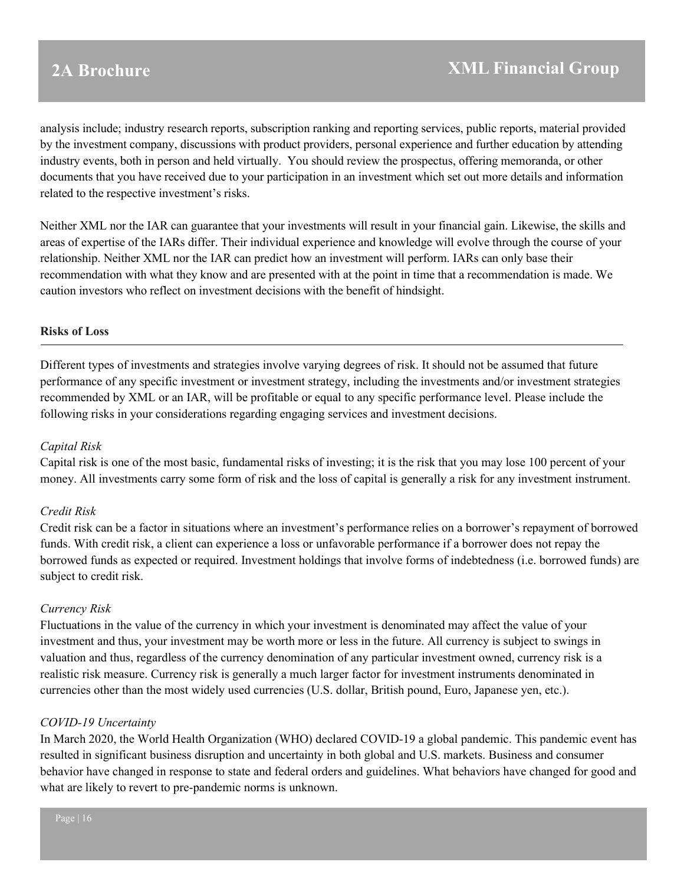analysis include; industry research reports, subscription ranking and reporting services, public reports, material provided by the investment company, discussions with product providers, personal experience and further education by attending industry events, both in person and held virtually. You should review the prospectus, offering memoranda, or other documents that you have received due to your participation in an investment which set out more details and information related to the respective investment's risks.

Neither XML nor the IAR can guarantee that your investments will result in your financial gain. Likewise, the skills and areas of expertise of the IARs differ. Their individual experience and knowledge will evolve through the course of your relationship. Neither XML nor the IAR can predict how an investment will perform. IARs can only base their recommendation with what they know and are presented with at the point in time that a recommendation is made. We caution investors who reflect on investment decisions with the benefit of hindsight.

### **Risks of Loss**

Different types of investments and strategies involve varying degrees of risk. It should not be assumed that future performance of any specific investment or investment strategy, including the investments and/or investment strategies recommended by XML or an IAR, will be profitable or equal to any specific performance level. Please include the following risks in your considerations regarding engaging services and investment decisions.

#### *Capital Risk*

Capital risk is one of the most basic, fundamental risks of investing; it is the risk that you may lose 100 percent of your money. All investments carry some form of risk and the loss of capital is generally a risk for any investment instrument.

#### *Credit Risk*

Credit risk can be a factor in situations where an investment's performance relies on a borrower's repayment of borrowed funds. With credit risk, a client can experience a loss or unfavorable performance if a borrower does not repay the borrowed funds as expected or required. Investment holdings that involve forms of indebtedness (i.e. borrowed funds) are subject to credit risk.

#### *Currency Risk*

Fluctuations in the value of the currency in which your investment is denominated may affect the value of your investment and thus, your investment may be worth more or less in the future. All currency is subject to swings in valuation and thus, regardless of the currency denomination of any particular investment owned, currency risk is a realistic risk measure. Currency risk is generally a much larger factor for investment instruments denominated in currencies other than the most widely used currencies (U.S. dollar, British pound, Euro, Japanese yen, etc.).

#### *COVID-19 Uncertainty*

In March 2020, the World Health Organization (WHO) declared COVID-19 a global pandemic. This pandemic event has resulted in significant business disruption and uncertainty in both global and U.S. markets. Business and consumer behavior have changed in response to state and federal orders and guidelines. What behaviors have changed for good and what are likely to revert to pre-pandemic norms is unknown.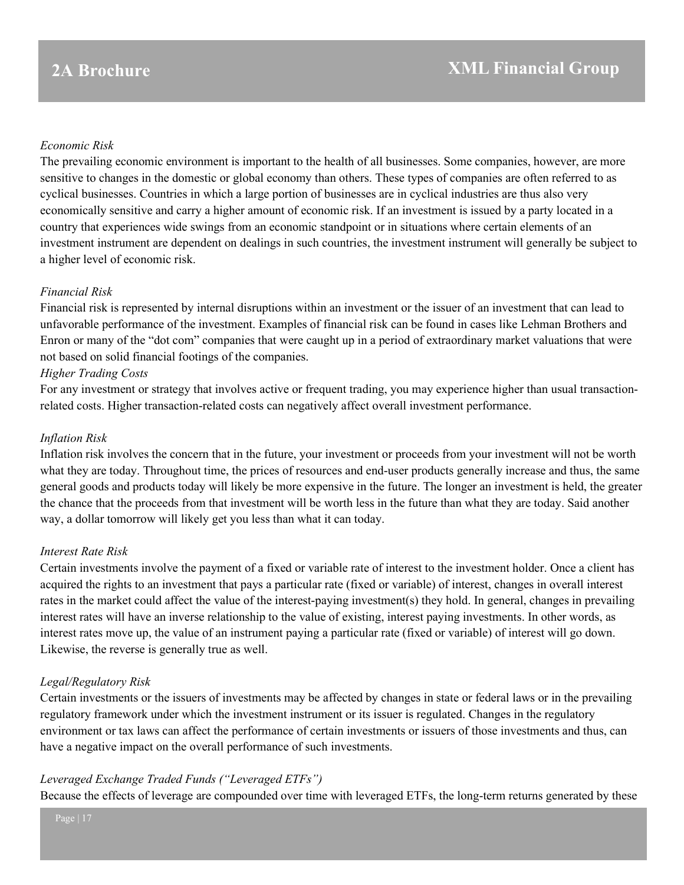### *Economic Risk*

The prevailing economic environment is important to the health of all businesses. Some companies, however, are more sensitive to changes in the domestic or global economy than others. These types of companies are often referred to as cyclical businesses. Countries in which a large portion of businesses are in cyclical industries are thus also very economically sensitive and carry a higher amount of economic risk. If an investment is issued by a party located in a country that experiences wide swings from an economic standpoint or in situations where certain elements of an investment instrument are dependent on dealings in such countries, the investment instrument will generally be subject to a higher level of economic risk.

### *Financial Risk*

Financial risk is represented by internal disruptions within an investment or the issuer of an investment that can lead to unfavorable performance of the investment. Examples of financial risk can be found in cases like Lehman Brothers and Enron or many of the "dot com" companies that were caught up in a period of extraordinary market valuations that were not based on solid financial footings of the companies.

### *Higher Trading Costs*

For any investment or strategy that involves active or frequent trading, you may experience higher than usual transactionrelated costs. Higher transaction-related costs can negatively affect overall investment performance.

### *Inflation Risk*

Inflation risk involves the concern that in the future, your investment or proceeds from your investment will not be worth what they are today. Throughout time, the prices of resources and end-user products generally increase and thus, the same general goods and products today will likely be more expensive in the future. The longer an investment is held, the greater the chance that the proceeds from that investment will be worth less in the future than what they are today. Said another way, a dollar tomorrow will likely get you less than what it can today.

### *Interest Rate Risk*

Certain investments involve the payment of a fixed or variable rate of interest to the investment holder. Once a client has acquired the rights to an investment that pays a particular rate (fixed or variable) of interest, changes in overall interest rates in the market could affect the value of the interest-paying investment(s) they hold. In general, changes in prevailing interest rates will have an inverse relationship to the value of existing, interest paying investments. In other words, as interest rates move up, the value of an instrument paying a particular rate (fixed or variable) of interest will go down. Likewise, the reverse is generally true as well.

### *Legal/Regulatory Risk*

Certain investments or the issuers of investments may be affected by changes in state or federal laws or in the prevailing regulatory framework under which the investment instrument or its issuer is regulated. Changes in the regulatory environment or tax laws can affect the performance of certain investments or issuers of those investments and thus, can have a negative impact on the overall performance of such investments.

### *Leveraged Exchange Traded Funds ("Leveraged ETFs")*

Because the effects of leverage are compounded over time with leveraged ETFs, the long-term returns generated by these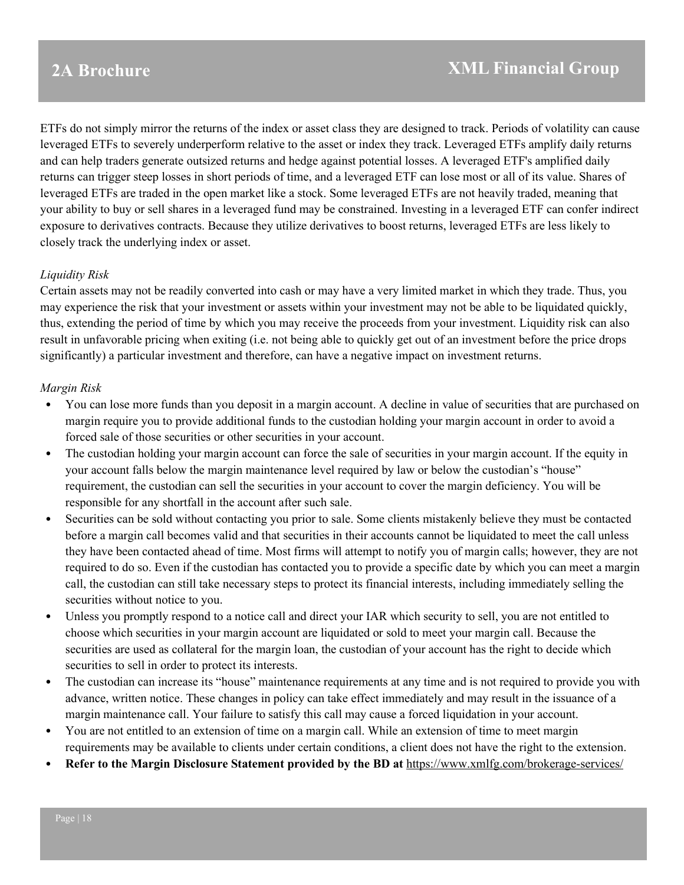ETFs do not simply mirror the returns of the index or asset class they are designed to track. Periods of volatility can cause leveraged ETFs to severely underperform relative to the asset or index they track. Leveraged ETFs amplify daily returns and can help traders generate outsized returns and hedge against potential losses. A leveraged ETF's amplified daily returns can trigger steep losses in short periods of time, and a leveraged ETF can lose most or all of its value. Shares of leveraged ETFs are traded in the open market like a stock. Some leveraged ETFs are not heavily traded, meaning that your ability to buy or sell shares in a leveraged fund may be constrained. Investing in a leveraged ETF can confer indirect exposure to derivatives contracts. Because they utilize derivatives to boost returns, leveraged ETFs are less likely to closely track the underlying index or asset.

### *Liquidity Risk*

Certain assets may not be readily converted into cash or may have a very limited market in which they trade. Thus, you may experience the risk that your investment or assets within your investment may not be able to be liquidated quickly, thus, extending the period of time by which you may receive the proceeds from your investment. Liquidity risk can also result in unfavorable pricing when exiting (i.e. not being able to quickly get out of an investment before the price drops significantly) a particular investment and therefore, can have a negative impact on investment returns.

### *Margin Risk*

- You can lose more funds than you deposit in a margin account. A decline in value of securities that are purchased on margin require you to provide additional funds to the custodian holding your margin account in order to avoid a forced sale of those securities or other securities in your account.
- The custodian holding your margin account can force the sale of securities in your margin account. If the equity in your account falls below the margin maintenance level required by law or below the custodian's "house" requirement, the custodian can sell the securities in your account to cover the margin deficiency. You will be responsible for any shortfall in the account after such sale.
- Securities can be sold without contacting you prior to sale. Some clients mistakenly believe they must be contacted before a margin call becomes valid and that securities in their accounts cannot be liquidated to meet the call unless they have been contacted ahead of time. Most firms will attempt to notify you of margin calls; however, they are not required to do so. Even if the custodian has contacted you to provide a specific date by which you can meet a margin call, the custodian can still take necessary steps to protect its financial interests, including immediately selling the securities without notice to you.
- Unless you promptly respond to a notice call and direct your IAR which security to sell, you are not entitled to choose which securities in your margin account are liquidated or sold to meet your margin call. Because the securities are used as collateral for the margin loan, the custodian of your account has the right to decide which securities to sell in order to protect its interests.
- The custodian can increase its "house" maintenance requirements at any time and is not required to provide you with advance, written notice. These changes in policy can take effect immediately and may result in the issuance of a margin maintenance call. Your failure to satisfy this call may cause a forced liquidation in your account.
- You are not entitled to an extension of time on a margin call. While an extension of time to meet margin requirements may be available to clients under certain conditions, a client does not have the right to the extension.
- **Refer to the Margin Disclosure Statement provided by the BD at** <https://www.xmlfg.com/brokerage-services/>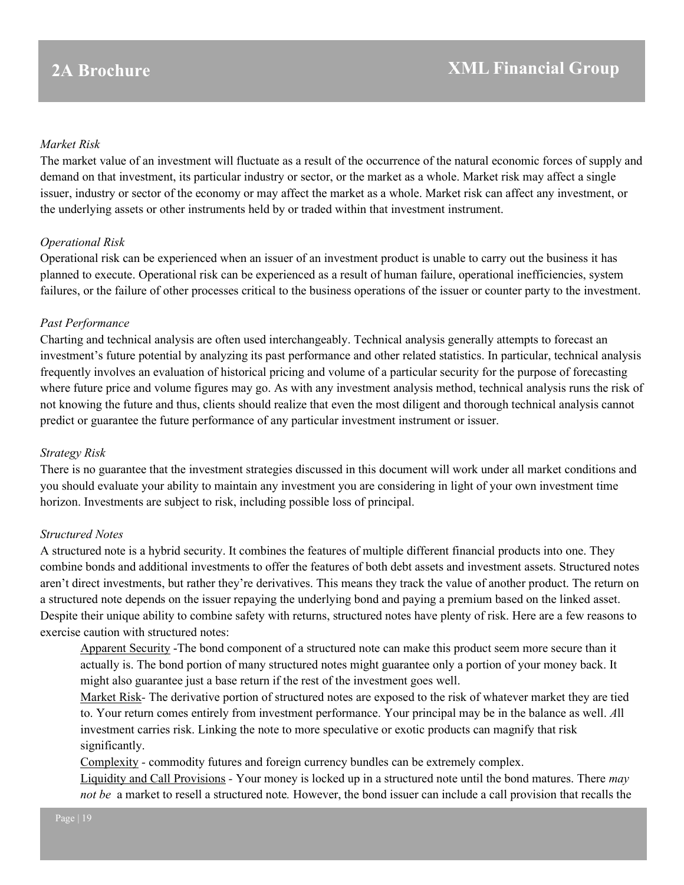#### *Market Risk*

The market value of an investment will fluctuate as a result of the occurrence of the natural economic forces of supply and demand on that investment, its particular industry or sector, or the market as a whole. Market risk may affect a single issuer, industry or sector of the economy or may affect the market as a whole. Market risk can affect any investment, or the underlying assets or other instruments held by or traded within that investment instrument.

#### *Operational Risk*

Operational risk can be experienced when an issuer of an investment product is unable to carry out the business it has planned to execute. Operational risk can be experienced as a result of human failure, operational inefficiencies, system failures, or the failure of other processes critical to the business operations of the issuer or counter party to the investment.

#### *Past Performance*

Charting and technical analysis are often used interchangeably. Technical analysis generally attempts to forecast an investment's future potential by analyzing its past performance and other related statistics. In particular, technical analysis frequently involves an evaluation of historical pricing and volume of a particular security for the purpose of forecasting where future price and volume figures may go. As with any investment analysis method, technical analysis runs the risk of not knowing the future and thus, clients should realize that even the most diligent and thorough technical analysis cannot predict or guarantee the future performance of any particular investment instrument or issuer.

#### *Strategy Risk*

There is no guarantee that the investment strategies discussed in this document will work under all market conditions and you should evaluate your ability to maintain any investment you are considering in light of your own investment time horizon. Investments are subject to risk, including possible loss of principal.

### *Structured Notes*

A structured note is a hybrid security. It combines the features of multiple different financial products into one. They combine bonds and additional investments to offer the features of both debt assets and investment assets. Structured notes aren't direct investments, but rather they're derivatives. This means they track the value of another product. The return on a structured note depends on the issuer repaying the underlying bond and paying a premium based on the linked asset. Despite their unique ability to combine safety with returns, structured notes have plenty of risk. Here are a few reasons to exercise caution with structured notes:

Apparent Security -The bond component of a structured note can make this product seem more secure than it actually is. The bond portion of many structured notes might guarantee only a portion of your money back. It might also guarantee just a base return if the rest of the investment goes well.

Market Risk*-* The derivative portion of structured notes are exposed to the risk of whatever market they are tied to. Your return comes entirely from investment performance. Your principal may be in the balance as well. *A*ll investment carries risk. Linking the note to more speculative or exotic products can magnify that risk significantly.

Complexity *-* commodity futures and foreign currency bundles can be extremely complex.

Liquidity and Call Provisions *-* Your money is locked up in a structured note until the bond matures. There *may not be* a market to resell a structured note*.* However, the bond issuer can include a call provision that recalls the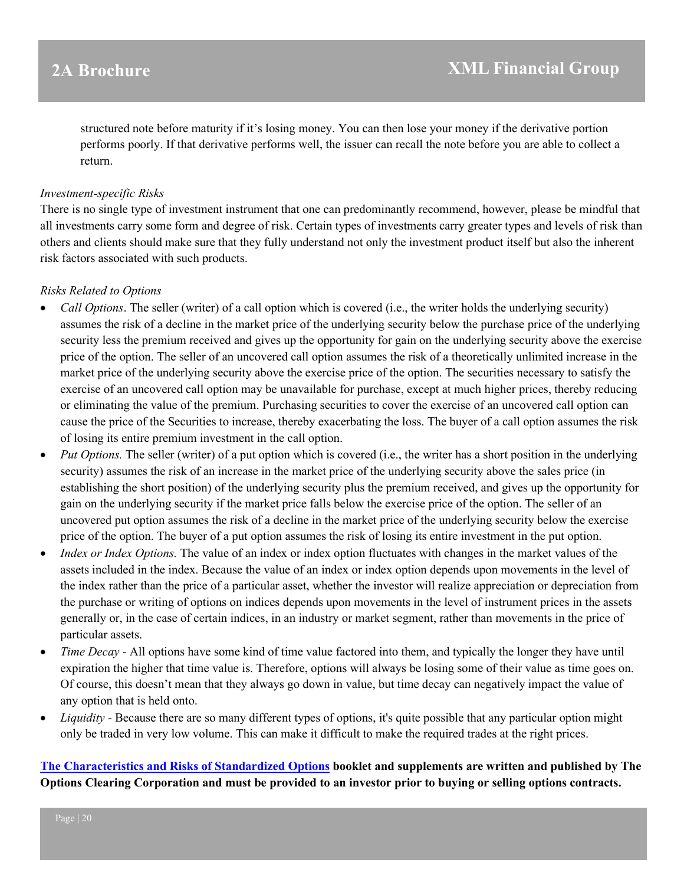structured note before maturity if it's losing money. You can then lose your money if the derivative portion performs poorly. If that derivative performs well, the issuer can recall the note before you are able to collect a return.

#### *Investment-specific Risks*

There is no single type of investment instrument that one can predominantly recommend, however, please be mindful that all investments carry some form and degree of risk. Certain types of investments carry greater types and levels of risk than others and clients should make sure that they fully understand not only the investment product itself but also the inherent risk factors associated with such products.

### *Risks Related to Options*

- *Call Options*. The seller (writer) of a call option which is covered (i.e., the writer holds the underlying security) assumes the risk of a decline in the market price of the underlying security below the purchase price of the underlying security less the premium received and gives up the opportunity for gain on the underlying security above the exercise price of the option. The seller of an uncovered call option assumes the risk of a theoretically unlimited increase in the market price of the underlying security above the exercise price of the option. The securities necessary to satisfy the exercise of an uncovered call option may be unavailable for purchase, except at much higher prices, thereby reducing or eliminating the value of the premium. Purchasing securities to cover the exercise of an uncovered call option can cause the price of the Securities to increase, thereby exacerbating the loss. The buyer of a call option assumes the risk of losing its entire premium investment in the call option.
- *Put Options.* The seller (writer) of a put option which is covered (i.e., the writer has a short position in the underlying security) assumes the risk of an increase in the market price of the underlying security above the sales price (in establishing the short position) of the underlying security plus the premium received, and gives up the opportunity for gain on the underlying security if the market price falls below the exercise price of the option. The seller of an uncovered put option assumes the risk of a decline in the market price of the underlying security below the exercise price of the option. The buyer of a put option assumes the risk of losing its entire investment in the put option.
- *Index or Index Options.* The value of an index or index option fluctuates with changes in the market values of the assets included in the index. Because the value of an index or index option depends upon movements in the level of the index rather than the price of a particular asset, whether the investor will realize appreciation or depreciation from the purchase or writing of options on indices depends upon movements in the level of instrument prices in the assets generally or, in the case of certain indices, in an industry or market segment, rather than movements in the price of particular assets.
- *Time Decay* All options have some kind of time value factored into them, and typically the longer they have until expiration the higher that time value is. Therefore, options will always be losing some of their value as time goes on. Of course, this doesn't mean that they always go down in value, but time decay can negatively impact the value of any option that is held onto.
- *Liquidity* Because there are so many different types of options, it's quite possible that any particular option might only be traded in very low volume. This can make it difficult to make the required trades at the right prices.

**[The Characteristics and Risks of Standardized Options](https://www.theocc.com/Company-Information/Documents-and-Archives/Publications) booklet and supplements are written and published by The Options Clearing Corporation and must be provided to an investor prior to buying or selling options contracts.**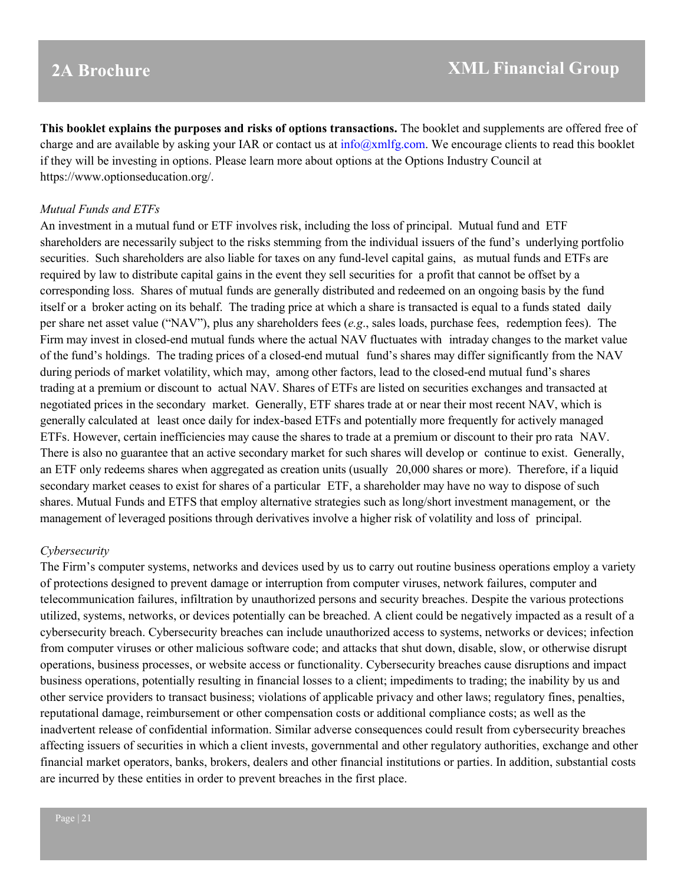**This booklet explains the purposes and risks of options transactions.** The booklet and supplements are offered free of charge and are available by asking your IAR or contact us at  $info@xmlfg.com$ . We encourage clients to read this booklet if they will be investing in options. Please learn more about options at the Options Industry Council at https://www.optionseducation.org/.

#### *Mutual Funds and ETFs*

An investment in a mutual fund or ETF involves risk, including the loss of principal. Mutual fund and ETF shareholders are necessarily subject to the risks stemming from the individual issuers of the fund's underlying portfolio securities. Such shareholders are also liable for taxes on any fund-level capital gains, as mutual funds and ETFs are required by law to distribute capital gains in the event they sell securities for a profit that cannot be offset by a corresponding loss. Shares of mutual funds are generally distributed and redeemed on an ongoing basis by the fund itself or a broker acting on its behalf. The trading price at which a share is transacted is equal to a funds stated daily per share net asset value ("NAV"), plus any shareholders fees (*e.g*., sales loads, purchase fees, redemption fees). The Firm may invest in closed-end mutual funds where the actual NAV fluctuates with intraday changes to the market value of the fund's holdings. The trading prices of a closed-end mutual fund's shares may differ significantly from the NAV during periods of market volatility, which may, among other factors, lead to the closed-end mutual fund's shares trading at a premium or discount to actual NAV. Shares of ETFs are listed on securities exchanges and transacted at negotiated prices in the secondary market. Generally, ETF shares trade at or near their most recent NAV, which is generally calculated at least once daily for index-based ETFs and potentially more frequently for actively managed ETFs. However, certain inefficiencies may cause the shares to trade at a premium or discount to their pro rata NAV. There is also no guarantee that an active secondary market for such shares will develop or continue to exist. Generally, an ETF only redeems shares when aggregated as creation units (usually 20,000 shares or more). Therefore, if a liquid secondary market ceases to exist for shares of a particular ETF, a shareholder may have no way to dispose of such shares. Mutual Funds and ETFS that employ alternative strategies such as long/short investment management, or the management of leveraged positions through derivatives involve a higher risk of volatility and loss of principal.

#### *Cybersecurity*

The Firm's computer systems, networks and devices used by us to carry out routine business operations employ a variety of protections designed to prevent damage or interruption from computer viruses, network failures, computer and telecommunication failures, infiltration by unauthorized persons and security breaches. Despite the various protections utilized, systems, networks, or devices potentially can be breached. A client could be negatively impacted as a result of a cybersecurity breach. Cybersecurity breaches can include unauthorized access to systems, networks or devices; infection from computer viruses or other malicious software code; and attacks that shut down, disable, slow, or otherwise disrupt operations, business processes, or website access or functionality. Cybersecurity breaches cause disruptions and impact business operations, potentially resulting in financial losses to a client; impediments to trading; the inability by us and other service providers to transact business; violations of applicable privacy and other laws; regulatory fines, penalties, reputational damage, reimbursement or other compensation costs or additional compliance costs; as well as the inadvertent release of confidential information. Similar adverse consequences could result from cybersecurity breaches affecting issuers of securities in which a client invests, governmental and other regulatory authorities, exchange and other financial market operators, banks, brokers, dealers and other financial institutions or parties. In addition, substantial costs are incurred by these entities in order to prevent breaches in the first place.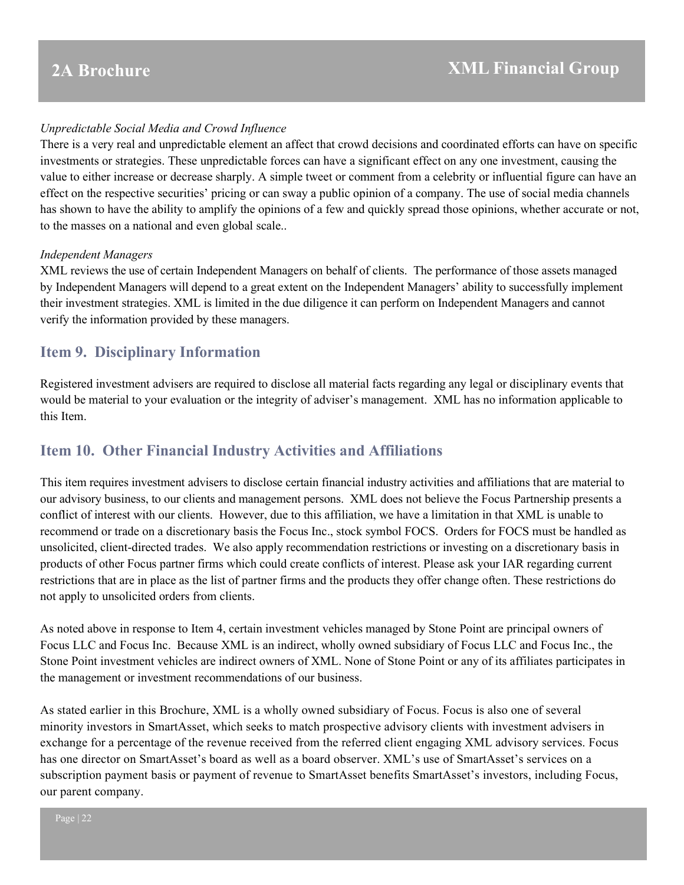### *Unpredictable Social Media and Crowd Influence*

There is a very real and unpredictable element an affect that crowd decisions and coordinated efforts can have on specific investments or strategies. These unpredictable forces can have a significant effect on any one investment, causing the value to either increase or decrease sharply. A simple tweet or comment from a celebrity or influential figure can have an effect on the respective securities' pricing or can sway a public opinion of a company. The use of social media channels has shown to have the ability to amplify the opinions of a few and quickly spread those opinions, whether accurate or not, to the masses on a national and even global scale..

#### *Independent Managers*

XML reviews the use of certain Independent Managers on behalf of clients. The performance of those assets managed by Independent Managers will depend to a great extent on the Independent Managers' ability to successfully implement their investment strategies. XML is limited in the due diligence it can perform on Independent Managers and cannot verify the information provided by these managers.

## <span id="page-21-0"></span>**Item 9. Disciplinary Information**

Registered investment advisers are required to disclose all material facts regarding any legal or disciplinary events that would be material to your evaluation or the integrity of adviser's management. XML has no information applicable to this Item.

## <span id="page-21-1"></span>**Item 10. Other Financial Industry Activities and Affiliations**

This item requires investment advisers to disclose certain financial industry activities and affiliations that are material to our advisory business, to our clients and management persons. XML does not believe the Focus Partnership presents a conflict of interest with our clients. However, due to this affiliation, we have a limitation in that XML is unable to recommend or trade on a discretionary basis the Focus Inc., stock symbol FOCS. Orders for FOCS must be handled as unsolicited, client-directed trades. We also apply recommendation restrictions or investing on a discretionary basis in products of other Focus partner firms which could create conflicts of interest. Please ask your IAR regarding current restrictions that are in place as the list of partner firms and the products they offer change often. These restrictions do not apply to unsolicited orders from clients.

As noted above in response to Item 4, certain investment vehicles managed by Stone Point are principal owners of Focus LLC and Focus Inc. Because XML is an indirect, wholly owned subsidiary of Focus LLC and Focus Inc., the Stone Point investment vehicles are indirect owners of XML. None of Stone Point or any of its affiliates participates in the management or investment recommendations of our business.

As stated earlier in this Brochure, XML is a wholly owned subsidiary of Focus. Focus is also one of several minority investors in SmartAsset, which seeks to match prospective advisory clients with investment advisers in exchange for a percentage of the revenue received from the referred client engaging XML advisory services. Focus has one director on SmartAsset's board as well as a board observer. XML's use of SmartAsset's services on a subscription payment basis or payment of revenue to SmartAsset benefits SmartAsset's investors, including Focus, our parent company.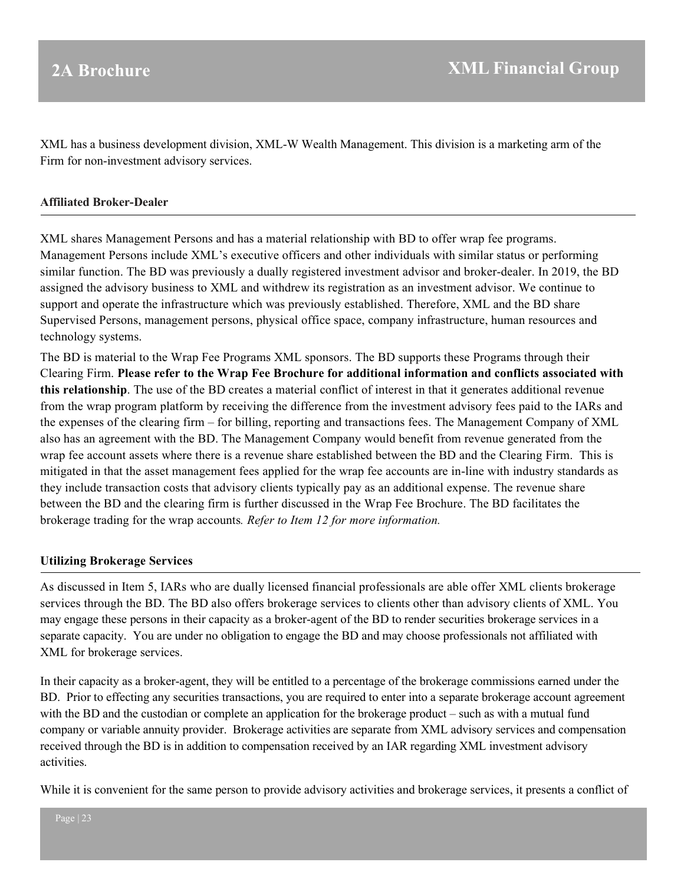XML has a business development division, XML-W Wealth Management. This division is a marketing arm of the Firm for non-investment advisory services.

#### **Affiliated Broker-Dealer**

XML shares Management Persons and has a material relationship with BD to offer wrap fee programs. Management Persons include XML's executive officers and other individuals with similar status or performing similar function. The BD was previously a dually registered investment advisor and broker-dealer. In 2019, the BD assigned the advisory business to XML and withdrew its registration as an investment advisor. We continue to support and operate the infrastructure which was previously established. Therefore, XML and the BD share Supervised Persons, management persons, physical office space, company infrastructure, human resources and technology systems.

The BD is material to the Wrap Fee Programs XML sponsors. The BD supports these Programs through their Clearing Firm. **Please refer to the Wrap Fee Brochure for additional information and conflicts associated with this relationship**. The use of the BD creates a material conflict of interest in that it generates additional revenue from the wrap program platform by receiving the difference from the investment advisory fees paid to the IARs and the expenses of the clearing firm – for billing, reporting and transactions fees. The Management Company of XML also has an agreement with the BD. The Management Company would benefit from revenue generated from the wrap fee account assets where there is a revenue share established between the BD and the Clearing Firm. This is mitigated in that the asset management fees applied for the wrap fee accounts are in-line with industry standards as they include transaction costs that advisory clients typically pay as an additional expense. The revenue share between the BD and the clearing firm is further discussed in the Wrap Fee Brochure. The BD facilitates the brokerage trading for the wrap accounts*. Refer to Item 12 for more information.*

### **Utilizing Brokerage Services**

As discussed in Item 5, IARs who are dually licensed financial professionals are able offer XML clients brokerage services through the BD. The BD also offers brokerage services to clients other than advisory clients of XML. You may engage these persons in their capacity as a broker-agent of the BD to render securities brokerage services in a separate capacity. You are under no obligation to engage the BD and may choose professionals not affiliated with XML for brokerage services.

In their capacity as a broker-agent, they will be entitled to a percentage of the brokerage commissions earned under the BD. Prior to effecting any securities transactions, you are required to enter into a separate brokerage account agreement with the BD and the custodian or complete an application for the brokerage product – such as with a mutual fund company or variable annuity provider. Brokerage activities are separate from XML advisory services and compensation received through the BD is in addition to compensation received by an IAR regarding XML investment advisory activities.

While it is convenient for the same person to provide advisory activities and brokerage services, it presents a conflict of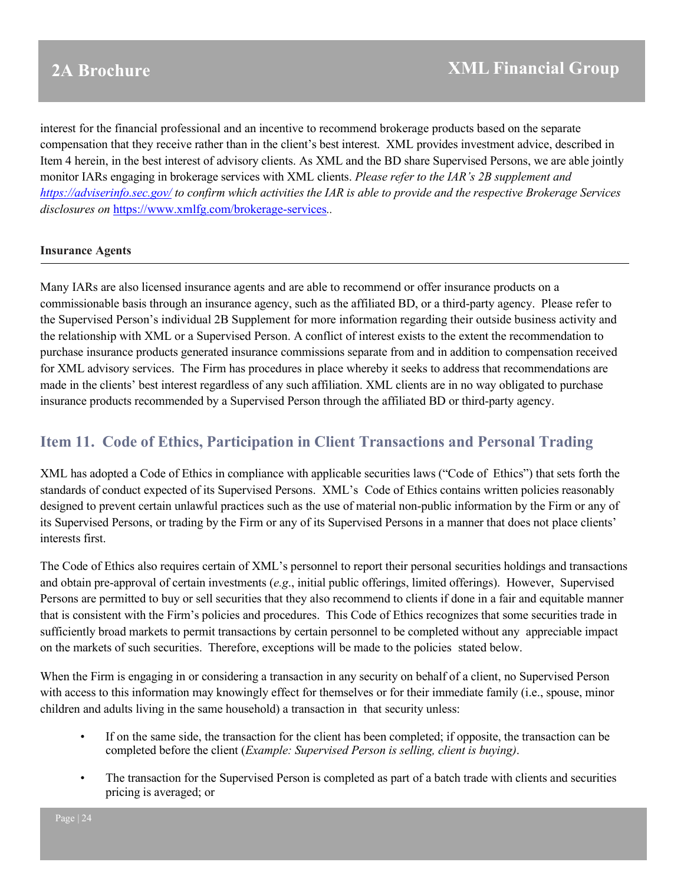interest for the financial professional and an incentive to recommend brokerage products based on the separate compensation that they receive rather than in the client's best interest. XML provides investment advice, described in Item 4 herein, in the best interest of advisory clients. As XML and the BD share Supervised Persons, we are able jointly monitor IARs engaging in brokerage services with XML clients. *Please refer to the IAR's 2B supplement and <https://adviserinfo.sec.gov/> to confirm which activities the IAR is able to provide and the respective Brokerage Services disclosures on* <https://www.xmlfg.com/brokerage-services>*..*

### **Insurance Agents**

Many IARs are also licensed insurance agents and are able to recommend or offer insurance products on a commissionable basis through an insurance agency, such as the affiliated BD, or a third-party agency. Please refer to the Supervised Person's individual 2B Supplement for more information regarding their outside business activity and the relationship with XML or a Supervised Person. A conflict of interest exists to the extent the recommendation to purchase insurance products generated insurance commissions separate from and in addition to compensation received for XML advisory services. The Firm has procedures in place whereby it seeks to address that recommendations are made in the clients' best interest regardless of any such affiliation. XML clients are in no way obligated to purchase insurance products recommended by a Supervised Person through the affiliated BD or third-party agency.

## <span id="page-23-0"></span>**Item 11. Code of Ethics, Participation in Client Transactions and Personal Trading**

XML has adopted a Code of Ethics in compliance with applicable securities laws ("Code of Ethics") that sets forth the standards of conduct expected of its Supervised Persons. XML's Code of Ethics contains written policies reasonably designed to prevent certain unlawful practices such as the use of material non-public information by the Firm or any of its Supervised Persons, or trading by the Firm or any of its Supervised Persons in a manner that does not place clients' interests first.

The Code of Ethics also requires certain of XML's personnel to report their personal securities holdings and transactions and obtain pre-approval of certain investments (*e.g*., initial public offerings, limited offerings). However, Supervised Persons are permitted to buy or sell securities that they also recommend to clients if done in a fair and equitable manner that is consistent with the Firm's policies and procedures. This Code of Ethics recognizes that some securities trade in sufficiently broad markets to permit transactions by certain personnel to be completed without any appreciable impact on the markets of such securities. Therefore, exceptions will be made to the policies stated below.

When the Firm is engaging in or considering a transaction in any security on behalf of a client, no Supervised Person with access to this information may knowingly effect for themselves or for their immediate family (i.e., spouse, minor children and adults living in the same household) a transaction in that security unless:

- If on the same side, the transaction for the client has been completed; if opposite, the transaction can be completed before the client (*Example: Supervised Person is selling, client is buying)*.
- The transaction for the Supervised Person is completed as part of a batch trade with clients and securities pricing is averaged; or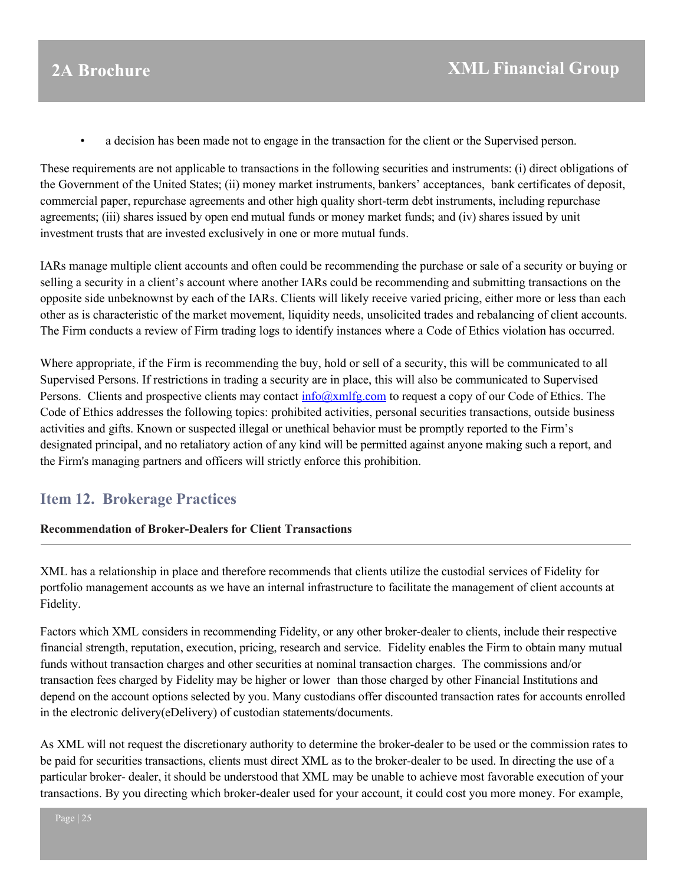• a decision has been made not to engage in the transaction for the client or the Supervised person.

These requirements are not applicable to transactions in the following securities and instruments: (i) direct obligations of the Government of the United States; (ii) money market instruments, bankers' acceptances, bank certificates of deposit, commercial paper, repurchase agreements and other high quality short-term debt instruments, including repurchase agreements; (iii) shares issued by open end mutual funds or money market funds; and (iv) shares issued by unit investment trusts that are invested exclusively in one or more mutual funds.

IARs manage multiple client accounts and often could be recommending the purchase or sale of a security or buying or selling a security in a client's account where another IARs could be recommending and submitting transactions on the opposite side unbeknownst by each of the IARs. Clients will likely receive varied pricing, either more or less than each other as is characteristic of the market movement, liquidity needs, unsolicited trades and rebalancing of client accounts. The Firm conducts a review of Firm trading logs to identify instances where a Code of Ethics violation has occurred.

Where appropriate, if the Firm is recommending the buy, hold or sell of a security, this will be communicated to all Supervised Persons. If restrictions in trading a security are in place, this will also be communicated to Supervised Persons. Clients and prospective clients may contact [info@xmlfg.com](mailto:info@xmlfg.com) to request a copy of our Code of Ethics. The Code of Ethics addresses the following topics: prohibited activities, personal securities transactions, outside business activities and gifts. Known or suspected illegal or unethical behavior must be promptly reported to the Firm's designated principal, and no retaliatory action of any kind will be permitted against anyone making such a report, and the Firm's managing partners and officers will strictly enforce this prohibition.

## <span id="page-24-0"></span>**Item 12. Brokerage Practices**

### **Recommendation of Broker-Dealers for Client Transactions**

XML has a relationship in place and therefore recommends that clients utilize the custodial services of Fidelity for portfolio management accounts as we have an internal infrastructure to facilitate the management of client accounts at Fidelity.

Factors which XML considers in recommending Fidelity, or any other broker-dealer to clients, include their respective financial strength, reputation, execution, pricing, research and service. Fidelity enables the Firm to obtain many mutual funds without transaction charges and other securities at nominal transaction charges. The commissions and/or transaction fees charged by Fidelity may be higher or lower than those charged by other Financial Institutions and depend on the account options selected by you. Many custodians offer discounted transaction rates for accounts enrolled in the electronic delivery(eDelivery) of custodian statements/documents.

As XML will not request the discretionary authority to determine the broker-dealer to be used or the commission rates to be paid for securities transactions, clients must direct XML as to the broker-dealer to be used. In directing the use of a particular broker- dealer, it should be understood that XML may be unable to achieve most favorable execution of your transactions. By you directing which broker-dealer used for your account, it could cost you more money. For example,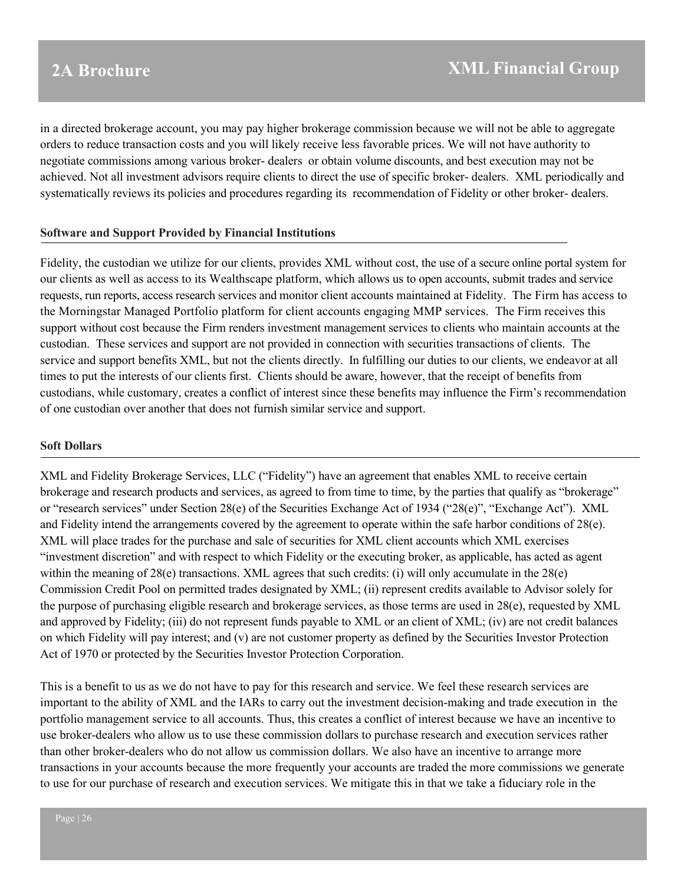in a directed brokerage account, you may pay higher brokerage commission because we will not be able to aggregate orders to reduce transaction costs and you will likely receive less favorable prices. We will not have authority to negotiate commissions among various broker- dealers or obtain volume discounts, and best execution may not be achieved. Not all investment advisors require clients to direct the use of specific broker- dealers. XML periodically and systematically reviews its policies and procedures regarding its recommendation of Fidelity or other broker- dealers.

#### **Software and Support Provided by Financial Institutions**

Fidelity, the custodian we utilize for our clients, provides XML without cost, the use of a secure online portal system for our clients as well as access to its Wealthscape platform, which allows us to open accounts, submit trades and service requests, run reports, access research services and monitor client accounts maintained at Fidelity. The Firm has access to the Morningstar Managed Portfolio platform for client accounts engaging MMP services. The Firm receives this support without cost because the Firm renders investment management services to clients who maintain accounts at the custodian. These services and support are not provided in connection with securities transactions of clients. The service and support benefits XML, but not the clients directly. In fulfilling our duties to our clients, we endeavor at all times to put the interests of our clients first. Clients should be aware, however, that the receipt of benefits from custodians, while customary, creates a conflict of interest since these benefits may influence the Firm's recommendation of one custodian over another that does not furnish similar service and support.

#### **Soft Dollars**

XML and Fidelity Brokerage Services, LLC ("Fidelity") have an agreement that enables XML to receive certain brokerage and research products and services, as agreed to from time to time, by the parties that qualify as "brokerage" or "research services" under Section 28(e) of the Securities Exchange Act of 1934 ("28(e)", "Exchange Act"). XML and Fidelity intend the arrangements covered by the agreement to operate within the safe harbor conditions of 28(e). XML will place trades for the purchase and sale of securities for XML client accounts which XML exercises "investment discretion" and with respect to which Fidelity or the executing broker, as applicable, has acted as agent within the meaning of 28(e) transactions. XML agrees that such credits: (i) will only accumulate in the 28(e) Commission Credit Pool on permitted trades designated by XML; (ii) represent credits available to Advisor solely for the purpose of purchasing eligible research and brokerage services, as those terms are used in 28(e), requested by XML and approved by Fidelity; (iii) do not represent funds payable to XML or an client of XML; (iv) are not credit balances on which Fidelity will pay interest; and (v) are not customer property as defined by the Securities Investor Protection Act of 1970 or protected by the Securities Investor Protection Corporation.

This is a benefit to us as we do not have to pay for this research and service. We feel these research services are important to the ability of XML and the IARs to carry out the investment decision-making and trade execution in the portfolio management service to all accounts. Thus, this creates a conflict of interest because we have an incentive to use broker-dealers who allow us to use these commission dollars to purchase research and execution services rather than other broker-dealers who do not allow us commission dollars. We also have an incentive to arrange more transactions in your accounts because the more frequently your accounts are traded the more commissions we generate to use for our purchase of research and execution services. We mitigate this in that we take a fiduciary role in the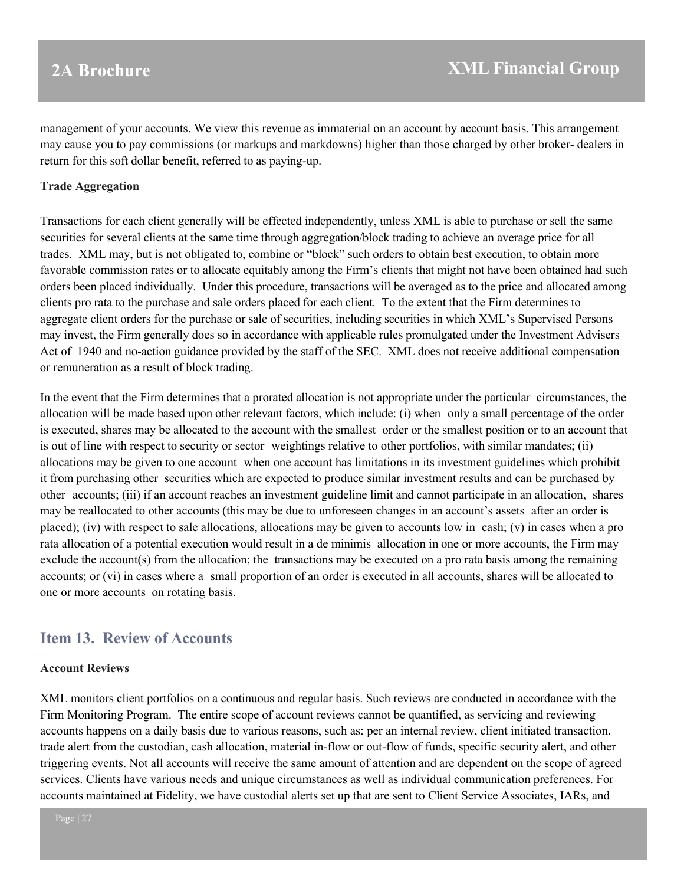management of your accounts. We view this revenue as immaterial on an account by account basis. This arrangement may cause you to pay commissions (or markups and markdowns) higher than those charged by other broker- dealers in return for this soft dollar benefit, referred to as paying-up.

#### **Trade Aggregation**

Transactions for each client generally will be effected independently, unless XML is able to purchase or sell the same securities for several clients at the same time through aggregation/block trading to achieve an average price for all trades. XML may, but is not obligated to, combine or "block" such orders to obtain best execution, to obtain more favorable commission rates or to allocate equitably among the Firm's clients that might not have been obtained had such orders been placed individually. Under this procedure, transactions will be averaged as to the price and allocated among clients pro rata to the purchase and sale orders placed for each client. To the extent that the Firm determines to aggregate client orders for the purchase or sale of securities, including securities in which XML's Supervised Persons may invest, the Firm generally does so in accordance with applicable rules promulgated under the Investment Advisers Act of 1940 and no-action guidance provided by the staff of the SEC. XML does not receive additional compensation or remuneration as a result of block trading.

In the event that the Firm determines that a prorated allocation is not appropriate under the particular circumstances, the allocation will be made based upon other relevant factors, which include: (i) when only a small percentage of the order is executed, shares may be allocated to the account with the smallest order or the smallest position or to an account that is out of line with respect to security or sector weightings relative to other portfolios, with similar mandates; (ii) allocations may be given to one account when one account has limitations in its investment guidelines which prohibit it from purchasing other securities which are expected to produce similar investment results and can be purchased by other accounts; (iii) if an account reaches an investment guideline limit and cannot participate in an allocation, shares may be reallocated to other accounts (this may be due to unforeseen changes in an account's assets after an order is placed); (iv) with respect to sale allocations, allocations may be given to accounts low in cash; (v) in cases when a pro rata allocation of a potential execution would result in a de minimis allocation in one or more accounts, the Firm may exclude the account(s) from the allocation; the transactions may be executed on a pro rata basis among the remaining accounts; or (vi) in cases where a small proportion of an order is executed in all accounts, shares will be allocated to one or more accounts on rotating basis.

## <span id="page-26-0"></span>**Item 13. Review of Accounts**

#### **Account Reviews**

XML monitors client portfolios on a continuous and regular basis. Such reviews are conducted in accordance with the Firm Monitoring Program. The entire scope of account reviews cannot be quantified, as servicing and reviewing accounts happens on a daily basis due to various reasons, such as: per an internal review, client initiated transaction, trade alert from the custodian, cash allocation, material in-flow or out-flow of funds, specific security alert, and other triggering events. Not all accounts will receive the same amount of attention and are dependent on the scope of agreed services. Clients have various needs and unique circumstances as well as individual communication preferences. For accounts maintained at Fidelity, we have custodial alerts set up that are sent to Client Service Associates, IARs, and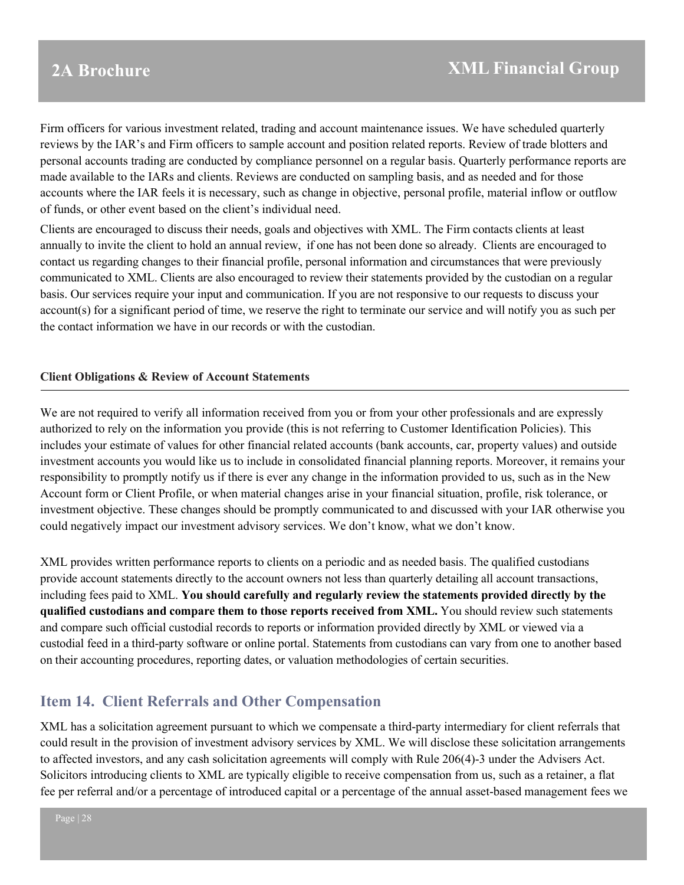Firm officers for various investment related, trading and account maintenance issues. We have scheduled quarterly reviews by the IAR's and Firm officers to sample account and position related reports. Review of trade blotters and personal accounts trading are conducted by compliance personnel on a regular basis. Quarterly performance reports are made available to the IARs and clients. Reviews are conducted on sampling basis, and as needed and for those accounts where the IAR feels it is necessary, such as change in objective, personal profile, material inflow or outflow of funds, or other event based on the client's individual need.

Clients are encouraged to discuss their needs, goals and objectives with XML. The Firm contacts clients at least annually to invite the client to hold an annual review, if one has not been done so already. Clients are encouraged to contact us regarding changes to their financial profile, personal information and circumstances that were previously communicated to XML. Clients are also encouraged to review their statements provided by the custodian on a regular basis. Our services require your input and communication. If you are not responsive to our requests to discuss your account(s) for a significant period of time, we reserve the right to terminate our service and will notify you as such per the contact information we have in our records or with the custodian.

### **Client Obligations & Review of Account Statements**

We are not required to verify all information received from you or from your other professionals and are expressly authorized to rely on the information you provide (this is not referring to Customer Identification Policies). This includes your estimate of values for other financial related accounts (bank accounts, car, property values) and outside investment accounts you would like us to include in consolidated financial planning reports. Moreover, it remains your responsibility to promptly notify us if there is ever any change in the information provided to us, such as in the New Account form or Client Profile, or when material changes arise in your financial situation, profile, risk tolerance, or investment objective. These changes should be promptly communicated to and discussed with your IAR otherwise you could negatively impact our investment advisory services. We don't know, what we don't know.

XML provides written performance reports to clients on a periodic and as needed basis. The qualified custodians provide account statements directly to the account owners not less than quarterly detailing all account transactions, including fees paid to XML. **You should carefully and regularly review the statements provided directly by the qualified custodians and compare them to those reports received from XML.** You should review such statements and compare such official custodial records to reports or information provided directly by XML or viewed via a custodial feed in a third-party software or online portal. Statements from custodians can vary from one to another based on their accounting procedures, reporting dates, or valuation methodologies of certain securities.

## <span id="page-27-0"></span>**Item 14. Client Referrals and Other Compensation**

XML has a solicitation agreement pursuant to which we compensate a third-party intermediary for client referrals that could result in the provision of investment advisory services by XML. We will disclose these solicitation arrangements to affected investors, and any cash solicitation agreements will comply with Rule 206(4)-3 under the Advisers Act. Solicitors introducing clients to XML are typically eligible to receive compensation from us, such as a retainer, a flat fee per referral and/or a percentage of introduced capital or a percentage of the annual asset-based management fees we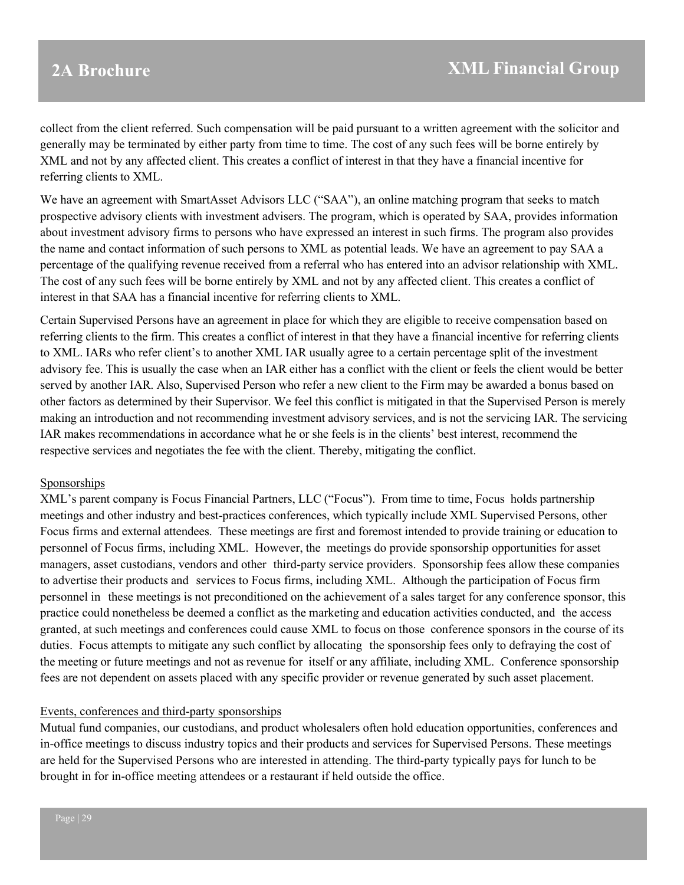collect from the client referred. Such compensation will be paid pursuant to a written agreement with the solicitor and generally may be terminated by either party from time to time. The cost of any such fees will be borne entirely by XML and not by any affected client. This creates a conflict of interest in that they have a financial incentive for referring clients to XML.

We have an agreement with SmartAsset Advisors LLC ("SAA"), an online matching program that seeks to match prospective advisory clients with investment advisers. The program, which is operated by SAA, provides information about investment advisory firms to persons who have expressed an interest in such firms. The program also provides the name and contact information of such persons to XML as potential leads. We have an agreement to pay SAA a percentage of the qualifying revenue received from a referral who has entered into an advisor relationship with XML. The cost of any such fees will be borne entirely by XML and not by any affected client. This creates a conflict of interest in that SAA has a financial incentive for referring clients to XML.

Certain Supervised Persons have an agreement in place for which they are eligible to receive compensation based on referring clients to the firm. This creates a conflict of interest in that they have a financial incentive for referring clients to XML. IARs who refer client's to another XML IAR usually agree to a certain percentage split of the investment advisory fee. This is usually the case when an IAR either has a conflict with the client or feels the client would be better served by another IAR. Also, Supervised Person who refer a new client to the Firm may be awarded a bonus based on other factors as determined by their Supervisor. We feel this conflict is mitigated in that the Supervised Person is merely making an introduction and not recommending investment advisory services, and is not the servicing IAR. The servicing IAR makes recommendations in accordance what he or she feels is in the clients' best interest, recommend the respective services and negotiates the fee with the client. Thereby, mitigating the conflict.

#### Sponsorships

XML's parent company is Focus Financial Partners, LLC ("Focus"). From time to time, Focus holds partnership meetings and other industry and best-practices conferences, which typically include XML Supervised Persons, other Focus firms and external attendees. These meetings are first and foremost intended to provide training or education to personnel of Focus firms, including XML. However, the meetings do provide sponsorship opportunities for asset managers, asset custodians, vendors and other third-party service providers. Sponsorship fees allow these companies to advertise their products and services to Focus firms, including XML. Although the participation of Focus firm personnel in these meetings is not preconditioned on the achievement of a sales target for any conference sponsor, this practice could nonetheless be deemed a conflict as the marketing and education activities conducted, and the access granted, at such meetings and conferences could cause XML to focus on those conference sponsors in the course of its duties. Focus attempts to mitigate any such conflict by allocating the sponsorship fees only to defraying the cost of the meeting or future meetings and not as revenue for itself or any affiliate, including XML. Conference sponsorship fees are not dependent on assets placed with any specific provider or revenue generated by such asset placement.

#### Events, conferences and third-party sponsorships

Mutual fund companies, our custodians, and product wholesalers often hold education opportunities, conferences and in-office meetings to discuss industry topics and their products and services for Supervised Persons. These meetings are held for the Supervised Persons who are interested in attending. The third-party typically pays for lunch to be brought in for in-office meeting attendees or a restaurant if held outside the office.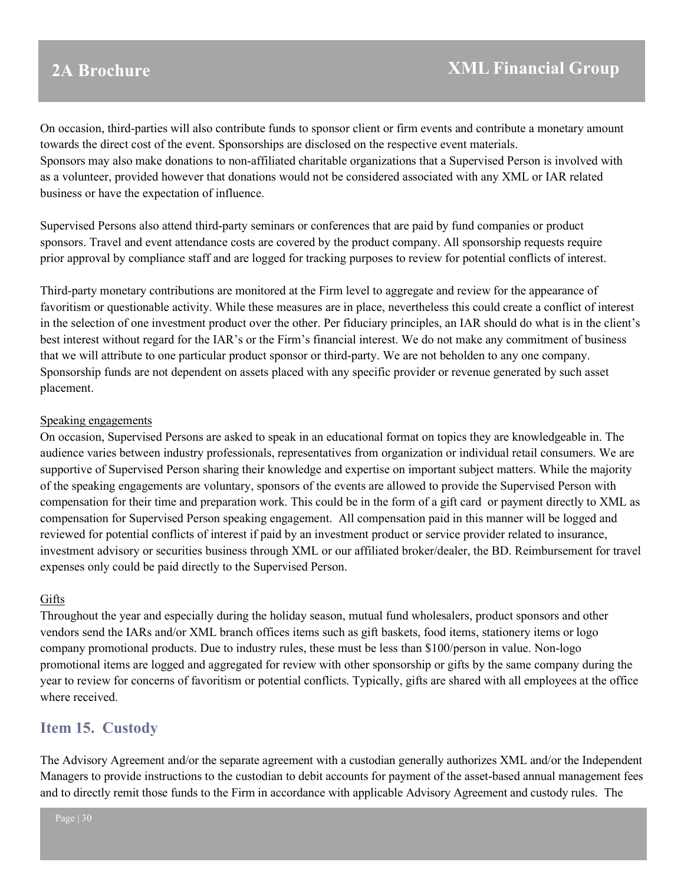On occasion, third-parties will also contribute funds to sponsor client or firm events and contribute a monetary amount towards the direct cost of the event. Sponsorships are disclosed on the respective event materials. Sponsors may also make donations to non-affiliated charitable organizations that a Supervised Person is involved with as a volunteer, provided however that donations would not be considered associated with any XML or IAR related business or have the expectation of influence.

Supervised Persons also attend third-party seminars or conferences that are paid by fund companies or product sponsors. Travel and event attendance costs are covered by the product company. All sponsorship requests require prior approval by compliance staff and are logged for tracking purposes to review for potential conflicts of interest.

Third-party monetary contributions are monitored at the Firm level to aggregate and review for the appearance of favoritism or questionable activity. While these measures are in place, nevertheless this could create a conflict of interest in the selection of one investment product over the other. Per fiduciary principles, an IAR should do what is in the client's best interest without regard for the IAR's or the Firm's financial interest. We do not make any commitment of business that we will attribute to one particular product sponsor or third-party. We are not beholden to any one company. Sponsorship funds are not dependent on assets placed with any specific provider or revenue generated by such asset placement.

#### Speaking engagements

On occasion, Supervised Persons are asked to speak in an educational format on topics they are knowledgeable in. The audience varies between industry professionals, representatives from organization or individual retail consumers. We are supportive of Supervised Person sharing their knowledge and expertise on important subject matters. While the majority of the speaking engagements are voluntary, sponsors of the events are allowed to provide the Supervised Person with compensation for their time and preparation work. This could be in the form of a gift card or payment directly to XML as compensation for Supervised Person speaking engagement. All compensation paid in this manner will be logged and reviewed for potential conflicts of interest if paid by an investment product or service provider related to insurance, investment advisory or securities business through XML or our affiliated broker/dealer, the BD. Reimbursement for travel expenses only could be paid directly to the Supervised Person.

### Gifts

Throughout the year and especially during the holiday season, mutual fund wholesalers, product sponsors and other vendors send the IARs and/or XML branch offices items such as gift baskets, food items, stationery items or logo company promotional products. Due to industry rules, these must be less than \$100/person in value. Non-logo promotional items are logged and aggregated for review with other sponsorship or gifts by the same company during the year to review for concerns of favoritism or potential conflicts. Typically, gifts are shared with all employees at the office where received.

## <span id="page-29-0"></span>**Item 15. Custody**

The Advisory Agreement and/or the separate agreement with a custodian generally authorizes XML and/or the Independent Managers to provide instructions to the custodian to debit accounts for payment of the asset-based annual management fees and to directly remit those funds to the Firm in accordance with applicable Advisory Agreement and custody rules. The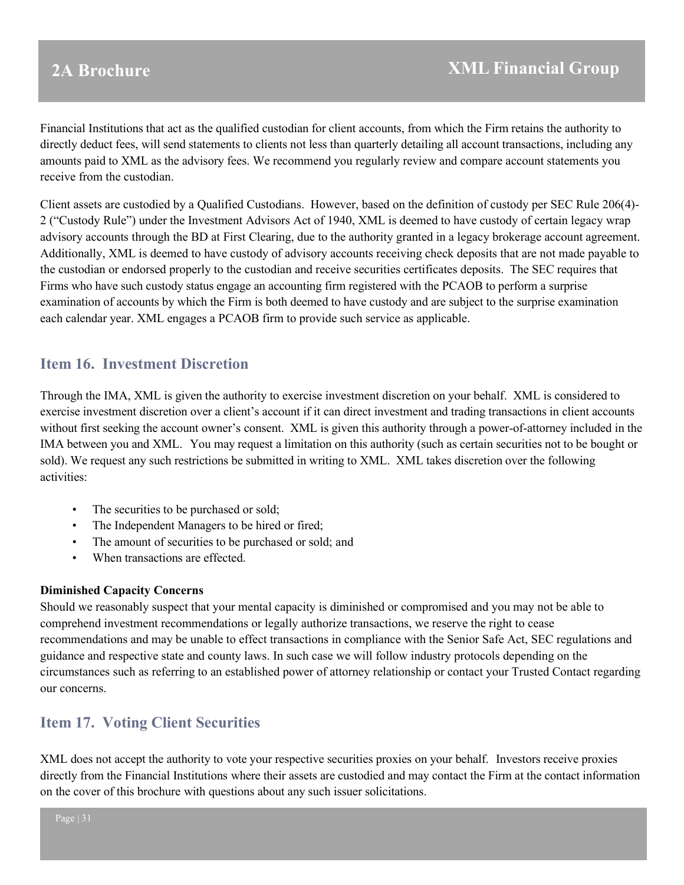Financial Institutions that act as the qualified custodian for client accounts, from which the Firm retains the authority to directly deduct fees, will send statements to clients not less than quarterly detailing all account transactions, including any amounts paid to XML as the advisory fees. We recommend you regularly review and compare account statements you receive from the custodian.

Client assets are custodied by a Qualified Custodians. However, based on the definition of custody per SEC Rule 206(4)- 2 ("Custody Rule") under the Investment Advisors Act of 1940, XML is deemed to have custody of certain legacy wrap advisory accounts through the BD at First Clearing, due to the authority granted in a legacy brokerage account agreement. Additionally, XML is deemed to have custody of advisory accounts receiving check deposits that are not made payable to the custodian or endorsed properly to the custodian and receive securities certificates deposits. The SEC requires that Firms who have such custody status engage an accounting firm registered with the PCAOB to perform a surprise examination of accounts by which the Firm is both deemed to have custody and are subject to the surprise examination each calendar year. XML engages a PCAOB firm to provide such service as applicable.

## <span id="page-30-0"></span>**Item 16. Investment Discretion**

Through the IMA, XML is given the authority to exercise investment discretion on your behalf. XML is considered to exercise investment discretion over a client's account if it can direct investment and trading transactions in client accounts without first seeking the account owner's consent. XML is given this authority through a power-of-attorney included in the IMA between you and XML. You may request a limitation on this authority (such as certain securities not to be bought or sold). We request any such restrictions be submitted in writing to XML. XML takes discretion over the following activities:

- The securities to be purchased or sold;
- The Independent Managers to be hired or fired;
- The amount of securities to be purchased or sold; and
- When transactions are effected.

#### **Diminished Capacity Concerns**

Should we reasonably suspect that your mental capacity is diminished or compromised and you may not be able to comprehend investment recommendations or legally authorize transactions, we reserve the right to cease recommendations and may be unable to effect transactions in compliance with the Senior Safe Act, SEC regulations and guidance and respective state and county laws. In such case we will follow industry protocols depending on the circumstances such as referring to an established power of attorney relationship or contact your Trusted Contact regarding our concerns.

## <span id="page-30-1"></span>**Item 17. Voting Client Securities**

XML does not accept the authority to vote your respective securities proxies on your behalf. Investors receive proxies directly from the Financial Institutions where their assets are custodied and may contact the Firm at the contact information on the cover of this brochure with questions about any such issuer solicitations.